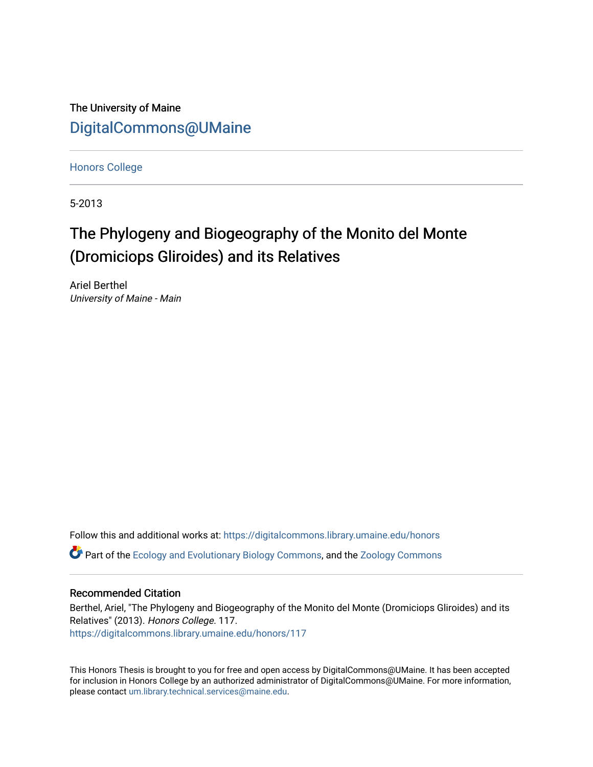The University of Maine [DigitalCommons@UMaine](https://digitalcommons.library.umaine.edu/)

[Honors College](https://digitalcommons.library.umaine.edu/honors)

5-2013

# The Phylogeny and Biogeography of the Monito del Monte (Dromiciops Gliroides) and its Relatives

Ariel Berthel University of Maine - Main

Follow this and additional works at: [https://digitalcommons.library.umaine.edu/honors](https://digitalcommons.library.umaine.edu/honors?utm_source=digitalcommons.library.umaine.edu%2Fhonors%2F117&utm_medium=PDF&utm_campaign=PDFCoverPages)  Part of the [Ecology and Evolutionary Biology Commons](http://network.bepress.com/hgg/discipline/14?utm_source=digitalcommons.library.umaine.edu%2Fhonors%2F117&utm_medium=PDF&utm_campaign=PDFCoverPages), and the [Zoology Commons](http://network.bepress.com/hgg/discipline/81?utm_source=digitalcommons.library.umaine.edu%2Fhonors%2F117&utm_medium=PDF&utm_campaign=PDFCoverPages) 

## Recommended Citation

Berthel, Ariel, "The Phylogeny and Biogeography of the Monito del Monte (Dromiciops Gliroides) and its Relatives" (2013). Honors College. 117. [https://digitalcommons.library.umaine.edu/honors/117](https://digitalcommons.library.umaine.edu/honors/117?utm_source=digitalcommons.library.umaine.edu%2Fhonors%2F117&utm_medium=PDF&utm_campaign=PDFCoverPages) 

This Honors Thesis is brought to you for free and open access by DigitalCommons@UMaine. It has been accepted for inclusion in Honors College by an authorized administrator of DigitalCommons@UMaine. For more information, please contact [um.library.technical.services@maine.edu.](mailto:um.library.technical.services@maine.edu)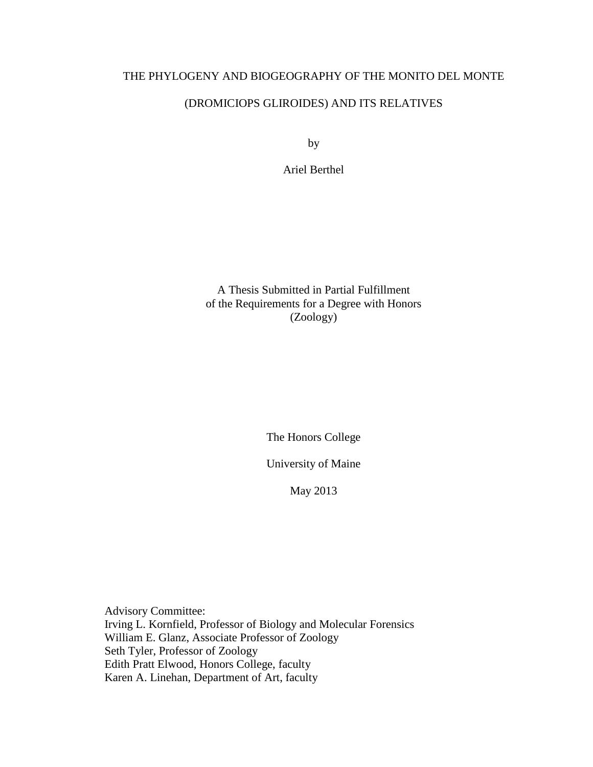## THE PHYLOGENY AND BIOGEOGRAPHY OF THE MONITO DEL MONTE

## (DROMICIOPS GLIROIDES) AND ITS RELATIVES

by

Ariel Berthel

A Thesis Submitted in Partial Fulfillment of the Requirements for a Degree with Honors (Zoology)

The Honors College

University of Maine

May 2013

Advisory Committee: Irving L. Kornfield, Professor of Biology and Molecular Forensics William E. Glanz, Associate Professor of Zoology Seth Tyler, Professor of Zoology Edith Pratt Elwood, Honors College, faculty Karen A. Linehan, Department of Art, faculty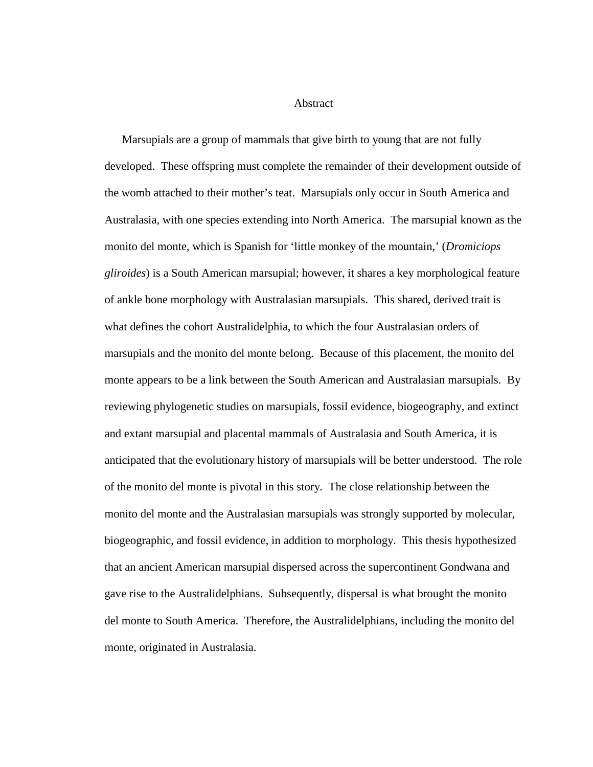Abstract

Marsupials are a group of mammals that give birth to young that are not fully developed. These offspring must complete the remainder of their development outside of the womb attached to their mother's teat. Marsupials only occur in South America and Australasia, with one species extending into North America. The marsupial known as the monito del monte, which is Spanish for 'little monkey of the mountain,' (*Dromiciops gliroides*) is a South American marsupial; however, it shares a key morphological feature of ankle bone morphology with Australasian marsupials. This shared, derived trait is what defines the cohort Australidelphia, to which the four Australasian orders of marsupials and the monito del monte belong. Because of this placement, the monito del monte appears to be a link between the South American and Australasian marsupials. By reviewing phylogenetic studies on marsupials, fossil evidence, biogeography, and extinct and extant marsupial and placental mammals of Australasia and South America, it is anticipated that the evolutionary history of marsupials will be better understood. The role of the monito del monte is pivotal in this story. The close relationship between the monito del monte and the Australasian marsupials was strongly supported by molecular, biogeographic, and fossil evidence, in addition to morphology. This thesis hypothesized that an ancient American marsupial dispersed across the supercontinent Gondwana and gave rise to the Australidelphians. Subsequently, dispersal is what brought the monito del monte to South America. Therefore, the Australidelphians, including the monito del monte, originated in Australasia.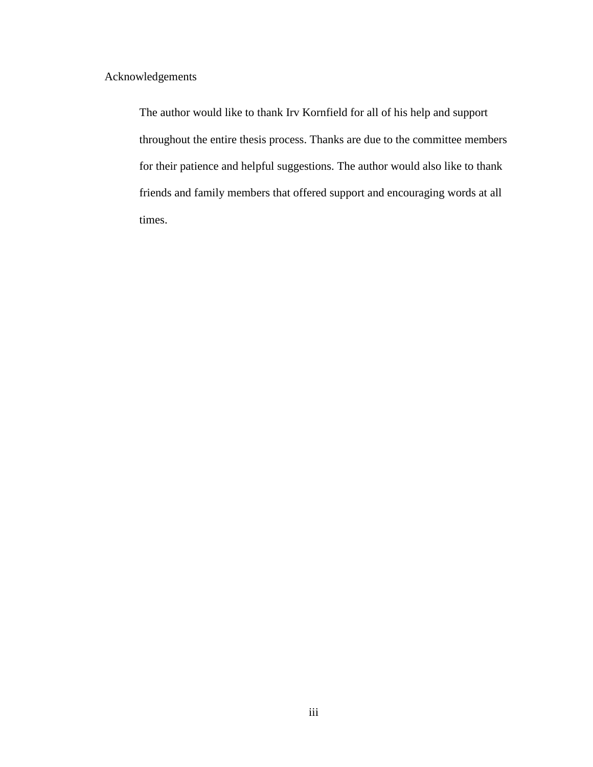Acknowledgements

The author would like to thank Irv Kornfield for all of his help and support throughout the entire thesis process. Thanks are due to the committee members for their patience and helpful suggestions. The author would also like to thank friends and family members that offered support and encouraging words at all times.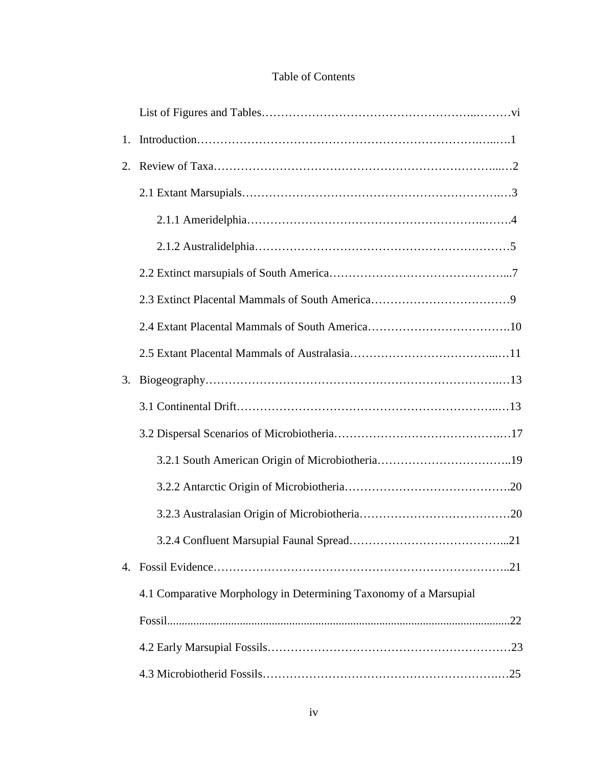## Table of Contents

| 1. |                                                                   |
|----|-------------------------------------------------------------------|
| 2. |                                                                   |
|    |                                                                   |
|    |                                                                   |
|    |                                                                   |
|    |                                                                   |
|    |                                                                   |
|    |                                                                   |
|    |                                                                   |
| 3. |                                                                   |
|    |                                                                   |
|    |                                                                   |
|    |                                                                   |
|    |                                                                   |
|    |                                                                   |
|    |                                                                   |
| 4. |                                                                   |
|    | 4.1 Comparative Morphology in Determining Taxonomy of a Marsupial |
|    |                                                                   |
|    |                                                                   |
|    |                                                                   |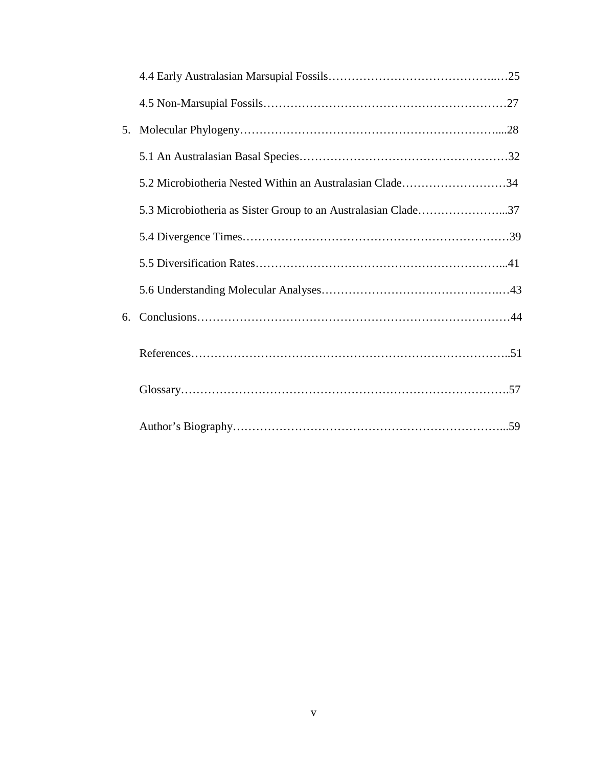| 5. |                                                          |  |
|----|----------------------------------------------------------|--|
|    |                                                          |  |
|    | 5.2 Microbiotheria Nested Within an Australasian Clade34 |  |
|    |                                                          |  |
|    |                                                          |  |
|    |                                                          |  |
|    |                                                          |  |
| 6. |                                                          |  |
|    |                                                          |  |
|    |                                                          |  |
|    |                                                          |  |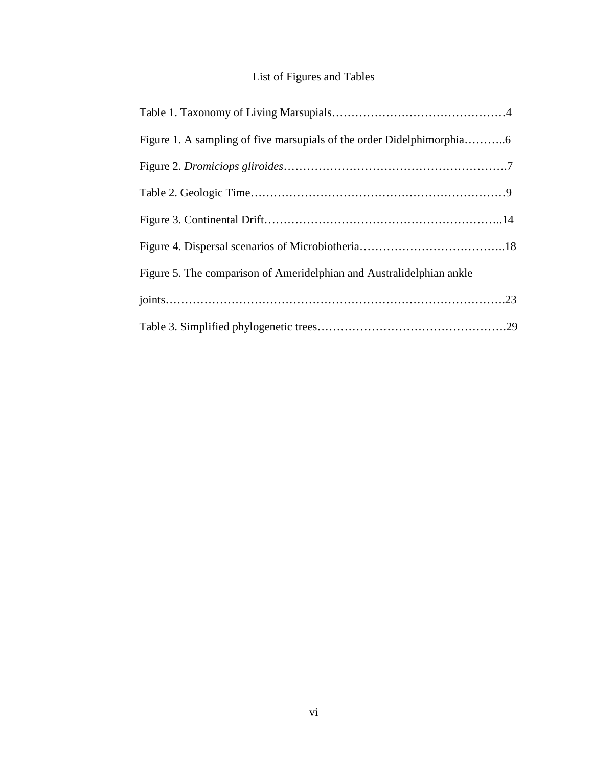## List of Figures and Tables

| Figure 5. The comparison of Ameridelphian and Australidelphian ankle |  |
|----------------------------------------------------------------------|--|
|                                                                      |  |
|                                                                      |  |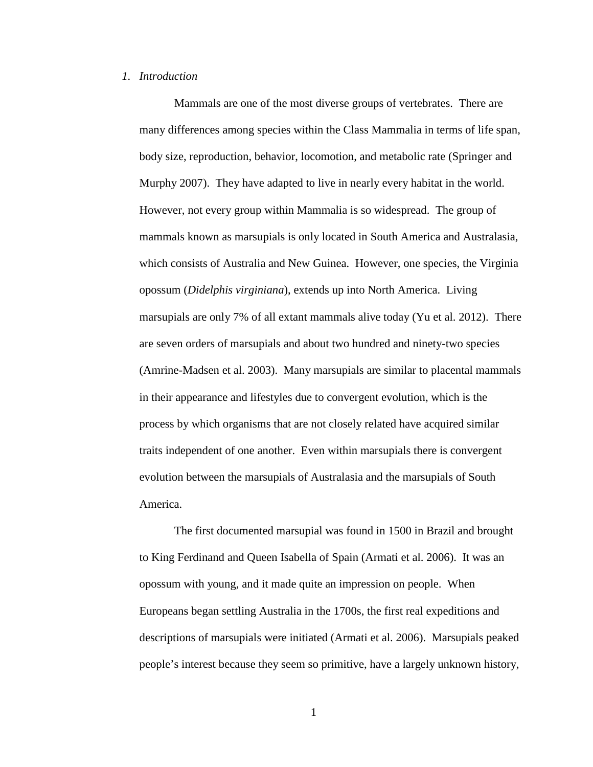#### *1. Introduction*

Mammals are one of the most diverse groups of vertebrates. There are many differences among species within the Class Mammalia in terms of life span, body size, reproduction, behavior, locomotion, and metabolic rate (Springer and Murphy 2007). They have adapted to live in nearly every habitat in the world. However, not every group within Mammalia is so widespread. The group of mammals known as marsupials is only located in South America and Australasia, which consists of Australia and New Guinea. However, one species, the Virginia opossum (*Didelphis virginiana*), extends up into North America. Living marsupials are only 7% of all extant mammals alive today (Yu et al. 2012). There are seven orders of marsupials and about two hundred and ninety-two species (Amrine-Madsen et al. 2003). Many marsupials are similar to placental mammals in their appearance and lifestyles due to convergent evolution, which is the process by which organisms that are not closely related have acquired similar traits independent of one another. Even within marsupials there is convergent evolution between the marsupials of Australasia and the marsupials of South America.

The first documented marsupial was found in 1500 in Brazil and brought to King Ferdinand and Queen Isabella of Spain (Armati et al. 2006). It was an opossum with young, and it made quite an impression on people. When Europeans began settling Australia in the 1700s, the first real expeditions and descriptions of marsupials were initiated (Armati et al. 2006). Marsupials peaked people's interest because they seem so primitive, have a largely unknown history,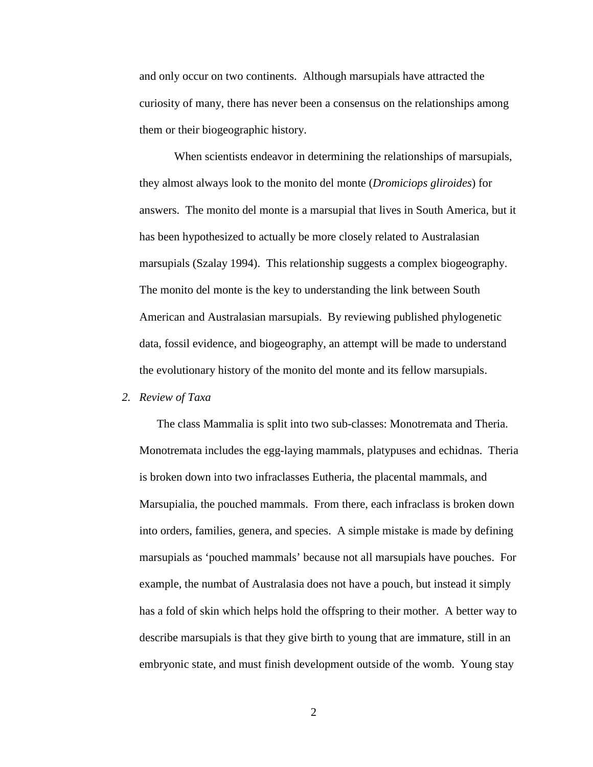and only occur on two continents. Although marsupials have attracted the curiosity of many, there has never been a consensus on the relationships among them or their biogeographic history.

When scientists endeavor in determining the relationships of marsupials, they almost always look to the monito del monte (*Dromiciops gliroides*) for answers. The monito del monte is a marsupial that lives in South America, but it has been hypothesized to actually be more closely related to Australasian marsupials (Szalay 1994). This relationship suggests a complex biogeography. The monito del monte is the key to understanding the link between South American and Australasian marsupials. By reviewing published phylogenetic data, fossil evidence, and biogeography, an attempt will be made to understand the evolutionary history of the monito del monte and its fellow marsupials.

#### *2. Review of Taxa*

The class Mammalia is split into two sub-classes: Monotremata and Theria. Monotremata includes the egg-laying mammals, platypuses and echidnas. Theria is broken down into two infraclasses Eutheria, the placental mammals, and Marsupialia, the pouched mammals. From there, each infraclass is broken down into orders, families, genera, and species. A simple mistake is made by defining marsupials as 'pouched mammals' because not all marsupials have pouches. For example, the numbat of Australasia does not have a pouch, but instead it simply has a fold of skin which helps hold the offspring to their mother. A better way to describe marsupials is that they give birth to young that are immature, still in an embryonic state, and must finish development outside of the womb. Young stay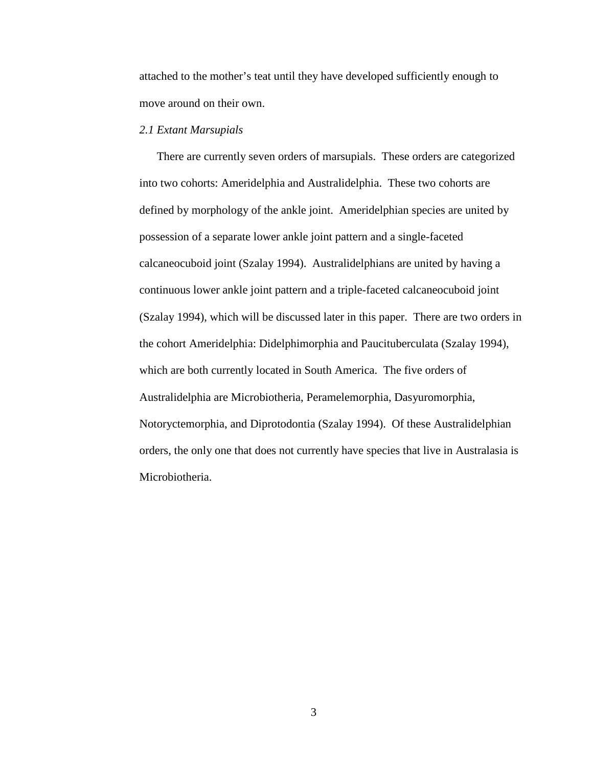attached to the mother's teat until they have developed sufficiently enough to move around on their own.

## *2.1 Extant Marsupials*

There are currently seven orders of marsupials. These orders are categorized into two cohorts: Ameridelphia and Australidelphia. These two cohorts are defined by morphology of the ankle joint. Ameridelphian species are united by possession of a separate lower ankle joint pattern and a single-faceted calcaneocuboid joint (Szalay 1994). Australidelphians are united by having a continuous lower ankle joint pattern and a triple-faceted calcaneocuboid joint (Szalay 1994), which will be discussed later in this paper. There are two orders in the cohort Ameridelphia: Didelphimorphia and Paucituberculata (Szalay 1994), which are both currently located in South America. The five orders of Australidelphia are Microbiotheria, Peramelemorphia, Dasyuromorphia, Notoryctemorphia, and Diprotodontia (Szalay 1994). Of these Australidelphian orders, the only one that does not currently have species that live in Australasia is Microbiotheria.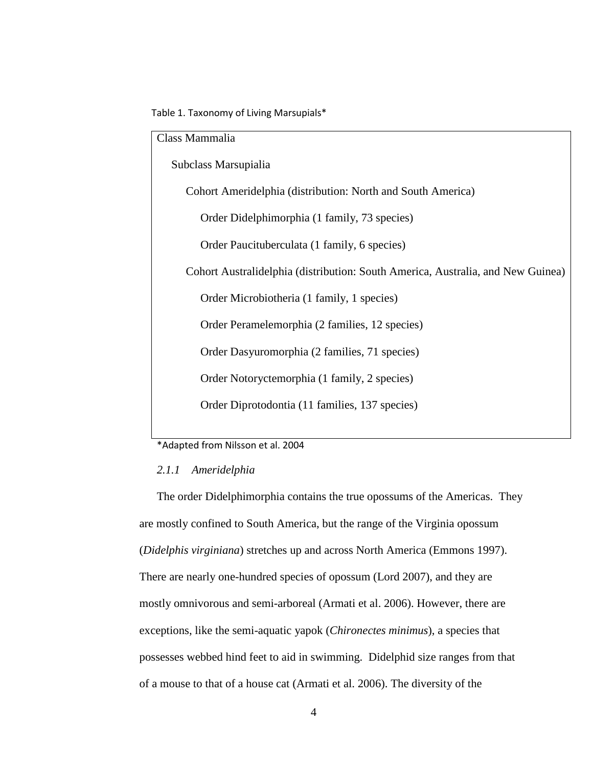Table 1. Taxonomy of Living Marsupials\*

| Class Mammalia                                                                  |  |  |  |  |
|---------------------------------------------------------------------------------|--|--|--|--|
| Subclass Marsupialia                                                            |  |  |  |  |
| Cohort Ameridelphia (distribution: North and South America)                     |  |  |  |  |
| Order Didelphimorphia (1 family, 73 species)                                    |  |  |  |  |
| Order Paucituberculata (1 family, 6 species)                                    |  |  |  |  |
| Cohort Australidelphia (distribution: South America, Australia, and New Guinea) |  |  |  |  |
| Order Microbiotheria (1 family, 1 species)                                      |  |  |  |  |
| Order Peramelemorphia (2 families, 12 species)                                  |  |  |  |  |
| Order Dasyuromorphia (2 families, 71 species)                                   |  |  |  |  |
| Order Notoryctemorphia (1 family, 2 species)                                    |  |  |  |  |
| Order Diprotodontia (11 families, 137 species)                                  |  |  |  |  |
|                                                                                 |  |  |  |  |

\*Adapted from Nilsson et al. 2004

## *2.1.1 Ameridelphia*

The order Didelphimorphia contains the true opossums of the Americas. They are mostly confined to South America, but the range of the Virginia opossum (*Didelphis virginiana*) stretches up and across North America (Emmons 1997). There are nearly one-hundred species of opossum (Lord 2007), and they are mostly omnivorous and semi-arboreal (Armati et al. 2006). However, there are exceptions, like the semi-aquatic yapok (*Chironectes minimus*), a species that possesses webbed hind feet to aid in swimming. Didelphid size ranges from that of a mouse to that of a house cat (Armati et al. 2006). The diversity of the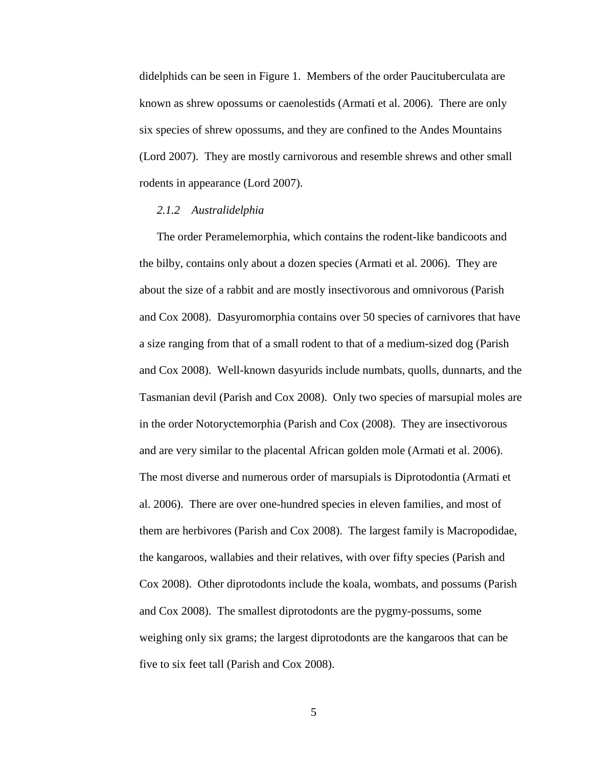didelphids can be seen in Figure 1. Members of the order Paucituberculata are known as shrew opossums or caenolestids (Armati et al. 2006). There are only six species of shrew opossums, and they are confined to the Andes Mountains (Lord 2007). They are mostly carnivorous and resemble shrews and other small rodents in appearance (Lord 2007).

#### *2.1.2 Australidelphia*

The order Peramelemorphia, which contains the rodent-like bandicoots and the bilby, contains only about a dozen species (Armati et al. 2006). They are about the size of a rabbit and are mostly insectivorous and omnivorous (Parish and Cox 2008). Dasyuromorphia contains over 50 species of carnivores that have a size ranging from that of a small rodent to that of a medium-sized dog (Parish and Cox 2008). Well-known dasyurids include numbats, quolls, dunnarts, and the Tasmanian devil (Parish and Cox 2008). Only two species of marsupial moles are in the order Notoryctemorphia (Parish and Cox (2008). They are insectivorous and are very similar to the placental African golden mole (Armati et al. 2006). The most diverse and numerous order of marsupials is Diprotodontia (Armati et al. 2006). There are over one-hundred species in eleven families, and most of them are herbivores (Parish and Cox 2008). The largest family is Macropodidae, the kangaroos, wallabies and their relatives, with over fifty species (Parish and Cox 2008). Other diprotodonts include the koala, wombats, and possums (Parish and Cox 2008). The smallest diprotodonts are the pygmy-possums, some weighing only six grams; the largest diprotodonts are the kangaroos that can be five to six feet tall (Parish and Cox 2008).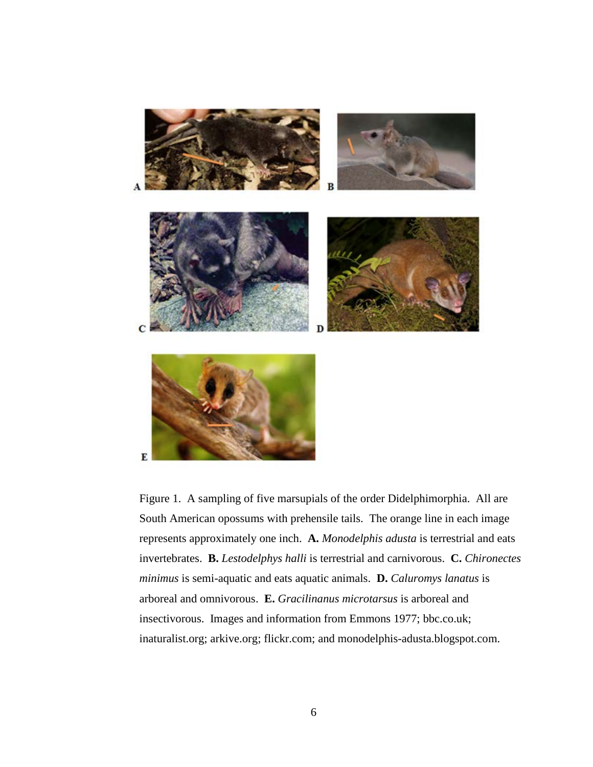

Figure 1. A sampling of five marsupials of the order Didelphimorphia. All are South American opossums with prehensile tails. The orange line in each image represents approximately one inch. **A.** *Monodelphis adusta* is terrestrial and eats invertebrates. **B.** *Lestodelphys halli* is terrestrial and carnivorous. **C.** *Chironectes minimus* is semi-aquatic and eats aquatic animals. **D.** *Caluromys lanatus* is arboreal and omnivorous. **E.** *Gracilinanus microtarsus* is arboreal and insectivorous. Images and information from Emmons 1977; bbc.co.uk; inaturalist.org; arkive.org; flickr.com; and monodelphis-adusta.blogspot.com.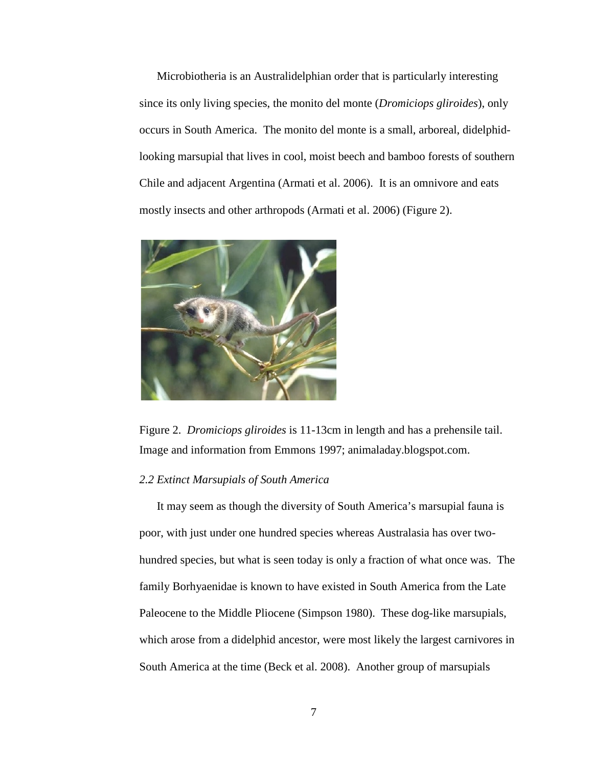Microbiotheria is an Australidelphian order that is particularly interesting since its only living species, the monito del monte (*Dromiciops gliroides*), only occurs in South America. The monito del monte is a small, arboreal, didelphidlooking marsupial that lives in cool, moist beech and bamboo forests of southern Chile and adjacent Argentina (Armati et al. 2006). It is an omnivore and eats mostly insects and other arthropods (Armati et al. 2006) (Figure 2).



Figure 2. *Dromiciops gliroides* is 11-13cm in length and has a prehensile tail. Image and information from Emmons 1997; animaladay.blogspot.com.

### *2.2 Extinct Marsupials of South America*

It may seem as though the diversity of South America's marsupial fauna is poor, with just under one hundred species whereas Australasia has over twohundred species, but what is seen today is only a fraction of what once was. The family Borhyaenidae is known to have existed in South America from the Late Paleocene to the Middle Pliocene (Simpson 1980). These dog-like marsupials, which arose from a didelphid ancestor, were most likely the largest carnivores in South America at the time (Beck et al. 2008). Another group of marsupials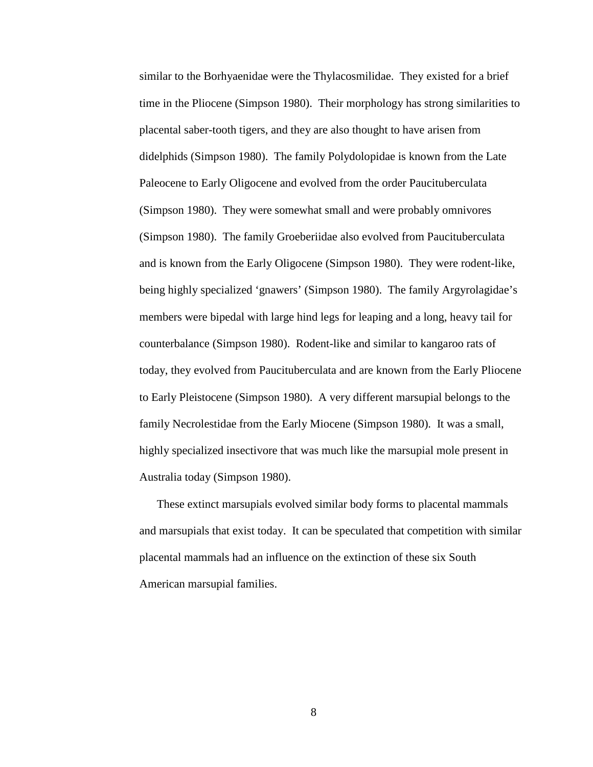similar to the Borhyaenidae were the Thylacosmilidae. They existed for a brief time in the Pliocene (Simpson 1980). Their morphology has strong similarities to placental saber-tooth tigers, and they are also thought to have arisen from didelphids (Simpson 1980). The family Polydolopidae is known from the Late Paleocene to Early Oligocene and evolved from the order Paucituberculata (Simpson 1980). They were somewhat small and were probably omnivores (Simpson 1980). The family Groeberiidae also evolved from Paucituberculata and is known from the Early Oligocene (Simpson 1980). They were rodent-like, being highly specialized 'gnawers' (Simpson 1980). The family Argyrolagidae's members were bipedal with large hind legs for leaping and a long, heavy tail for counterbalance (Simpson 1980). Rodent-like and similar to kangaroo rats of today, they evolved from Paucituberculata and are known from the Early Pliocene to Early Pleistocene (Simpson 1980). A very different marsupial belongs to the family Necrolestidae from the Early Miocene (Simpson 1980). It was a small, highly specialized insectivore that was much like the marsupial mole present in Australia today (Simpson 1980).

These extinct marsupials evolved similar body forms to placental mammals and marsupials that exist today. It can be speculated that competition with similar placental mammals had an influence on the extinction of these six South American marsupial families.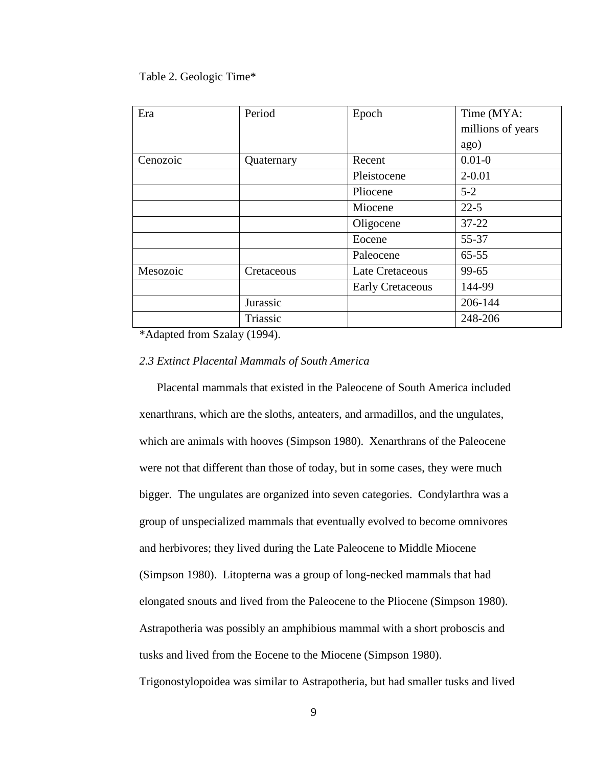#### Table 2. Geologic Time\*

| Era      | Period     | Epoch                   | Time (MYA:        |
|----------|------------|-------------------------|-------------------|
|          |            |                         | millions of years |
|          |            |                         | ago)              |
| Cenozoic | Quaternary | Recent                  | $0.01 - 0$        |
|          |            | Pleistocene             | $2 - 0.01$        |
|          |            | Pliocene                | $5 - 2$           |
|          |            | Miocene                 | $22 - 5$          |
|          |            | Oligocene               | $37 - 22$         |
|          |            | Eocene                  | 55-37             |
|          |            | Paleocene               | $65 - 55$         |
| Mesozoic | Cretaceous | Late Cretaceous         | 99-65             |
|          |            | <b>Early Cretaceous</b> | 144-99            |
|          | Jurassic   |                         | 206-144           |
|          | Triassic   |                         | 248-206           |

\*Adapted from Szalay (1994).

#### *2.3 Extinct Placental Mammals of South America*

Placental mammals that existed in the Paleocene of South America included xenarthrans, which are the sloths, anteaters, and armadillos, and the ungulates, which are animals with hooves (Simpson 1980). Xenarthrans of the Paleocene were not that different than those of today, but in some cases, they were much bigger. The ungulates are organized into seven categories. Condylarthra was a group of unspecialized mammals that eventually evolved to become omnivores and herbivores; they lived during the Late Paleocene to Middle Miocene (Simpson 1980). Litopterna was a group of long-necked mammals that had elongated snouts and lived from the Paleocene to the Pliocene (Simpson 1980). Astrapotheria was possibly an amphibious mammal with a short proboscis and tusks and lived from the Eocene to the Miocene (Simpson 1980).

Trigonostylopoidea was similar to Astrapotheria, but had smaller tusks and lived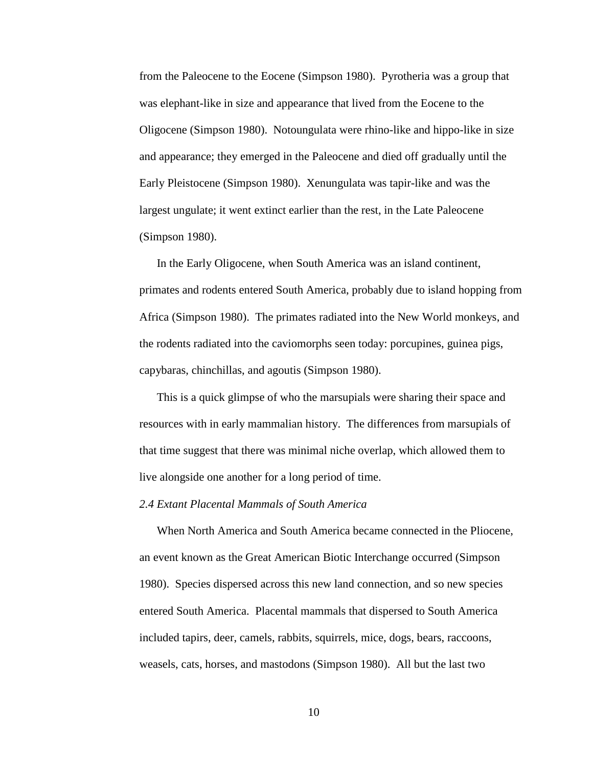from the Paleocene to the Eocene (Simpson 1980). Pyrotheria was a group that was elephant-like in size and appearance that lived from the Eocene to the Oligocene (Simpson 1980). Notoungulata were rhino-like and hippo-like in size and appearance; they emerged in the Paleocene and died off gradually until the Early Pleistocene (Simpson 1980). Xenungulata was tapir-like and was the largest ungulate; it went extinct earlier than the rest, in the Late Paleocene (Simpson 1980).

In the Early Oligocene, when South America was an island continent, primates and rodents entered South America, probably due to island hopping from Africa (Simpson 1980). The primates radiated into the New World monkeys, and the rodents radiated into the caviomorphs seen today: porcupines, guinea pigs, capybaras, chinchillas, and agoutis (Simpson 1980).

This is a quick glimpse of who the marsupials were sharing their space and resources with in early mammalian history. The differences from marsupials of that time suggest that there was minimal niche overlap, which allowed them to live alongside one another for a long period of time.

#### *2.4 Extant Placental Mammals of South America*

When North America and South America became connected in the Pliocene, an event known as the Great American Biotic Interchange occurred (Simpson 1980). Species dispersed across this new land connection, and so new species entered South America. Placental mammals that dispersed to South America included tapirs, deer, camels, rabbits, squirrels, mice, dogs, bears, raccoons, weasels, cats, horses, and mastodons (Simpson 1980). All but the last two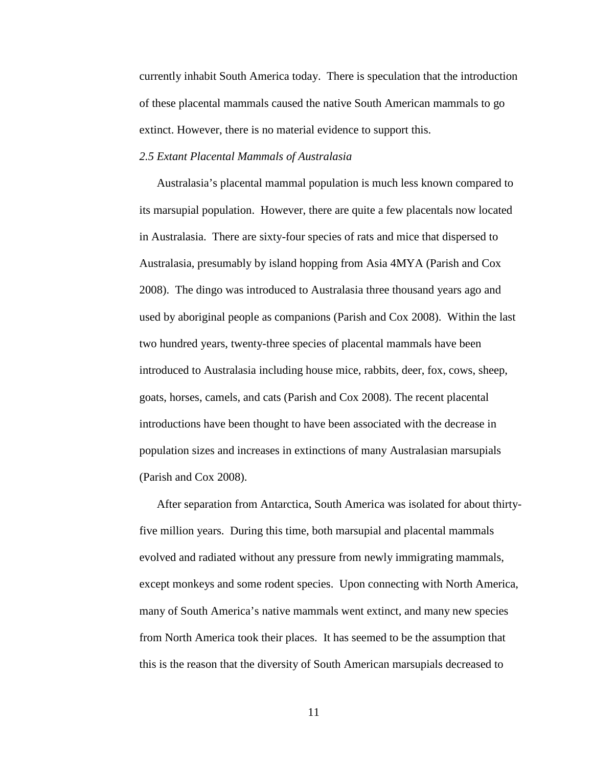currently inhabit South America today. There is speculation that the introduction of these placental mammals caused the native South American mammals to go extinct. However, there is no material evidence to support this.

## *2.5 Extant Placental Mammals of Australasia*

Australasia's placental mammal population is much less known compared to its marsupial population. However, there are quite a few placentals now located in Australasia. There are sixty-four species of rats and mice that dispersed to Australasia, presumably by island hopping from Asia 4MYA (Parish and Cox 2008). The dingo was introduced to Australasia three thousand years ago and used by aboriginal people as companions (Parish and Cox 2008). Within the last two hundred years, twenty-three species of placental mammals have been introduced to Australasia including house mice, rabbits, deer, fox, cows, sheep, goats, horses, camels, and cats (Parish and Cox 2008). The recent placental introductions have been thought to have been associated with the decrease in population sizes and increases in extinctions of many Australasian marsupials (Parish and Cox 2008).

After separation from Antarctica, South America was isolated for about thirtyfive million years. During this time, both marsupial and placental mammals evolved and radiated without any pressure from newly immigrating mammals, except monkeys and some rodent species. Upon connecting with North America, many of South America's native mammals went extinct, and many new species from North America took their places. It has seemed to be the assumption that this is the reason that the diversity of South American marsupials decreased to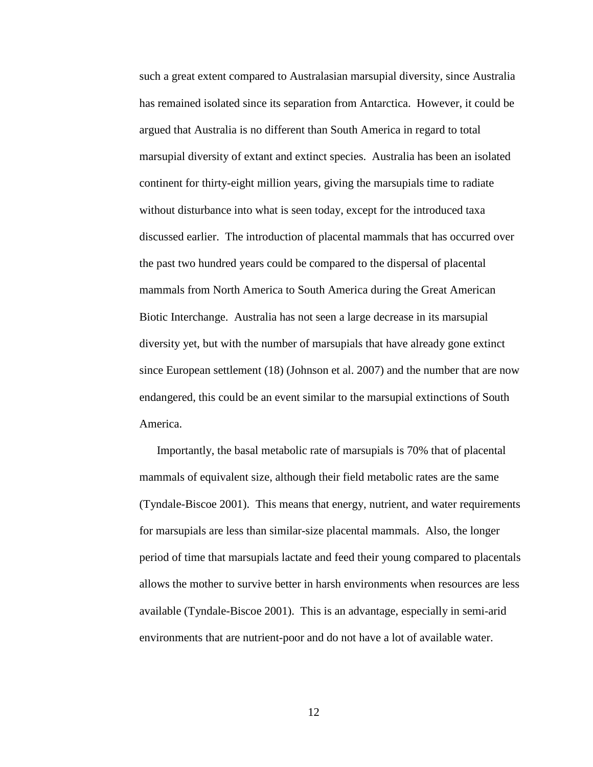such a great extent compared to Australasian marsupial diversity, since Australia has remained isolated since its separation from Antarctica. However, it could be argued that Australia is no different than South America in regard to total marsupial diversity of extant and extinct species. Australia has been an isolated continent for thirty-eight million years, giving the marsupials time to radiate without disturbance into what is seen today, except for the introduced taxa discussed earlier. The introduction of placental mammals that has occurred over the past two hundred years could be compared to the dispersal of placental mammals from North America to South America during the Great American Biotic Interchange. Australia has not seen a large decrease in its marsupial diversity yet, but with the number of marsupials that have already gone extinct since European settlement (18) (Johnson et al. 2007) and the number that are now endangered, this could be an event similar to the marsupial extinctions of South America.

Importantly, the basal metabolic rate of marsupials is 70% that of placental mammals of equivalent size, although their field metabolic rates are the same (Tyndale-Biscoe 2001). This means that energy, nutrient, and water requirements for marsupials are less than similar-size placental mammals. Also, the longer period of time that marsupials lactate and feed their young compared to placentals allows the mother to survive better in harsh environments when resources are less available (Tyndale-Biscoe 2001). This is an advantage, especially in semi-arid environments that are nutrient-poor and do not have a lot of available water.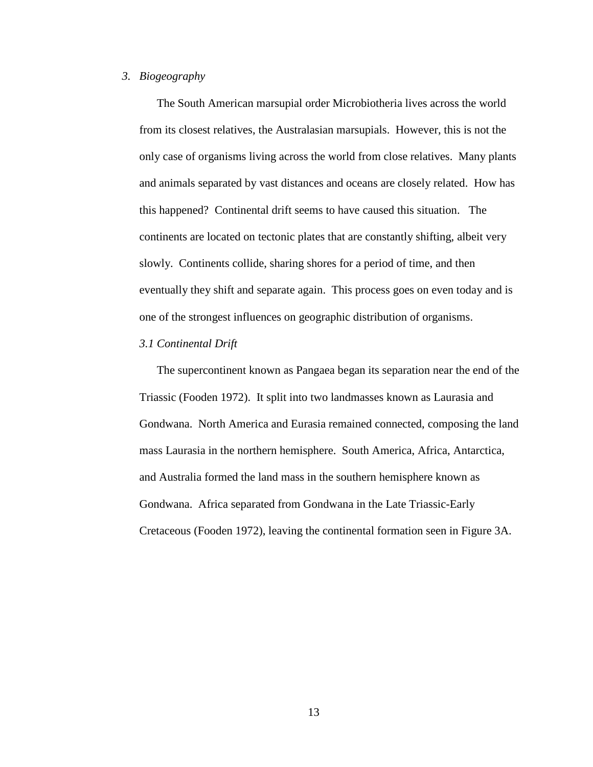#### *3. Biogeography*

The South American marsupial order Microbiotheria lives across the world from its closest relatives, the Australasian marsupials. However, this is not the only case of organisms living across the world from close relatives. Many plants and animals separated by vast distances and oceans are closely related. How has this happened? Continental drift seems to have caused this situation. The continents are located on tectonic plates that are constantly shifting, albeit very slowly. Continents collide, sharing shores for a period of time, and then eventually they shift and separate again. This process goes on even today and is one of the strongest influences on geographic distribution of organisms.

## *3.1 Continental Drift*

The supercontinent known as Pangaea began its separation near the end of the Triassic (Fooden 1972). It split into two landmasses known as Laurasia and Gondwana. North America and Eurasia remained connected, composing the land mass Laurasia in the northern hemisphere. South America, Africa, Antarctica, and Australia formed the land mass in the southern hemisphere known as Gondwana. Africa separated from Gondwana in the Late Triassic-Early Cretaceous (Fooden 1972), leaving the continental formation seen in Figure 3A.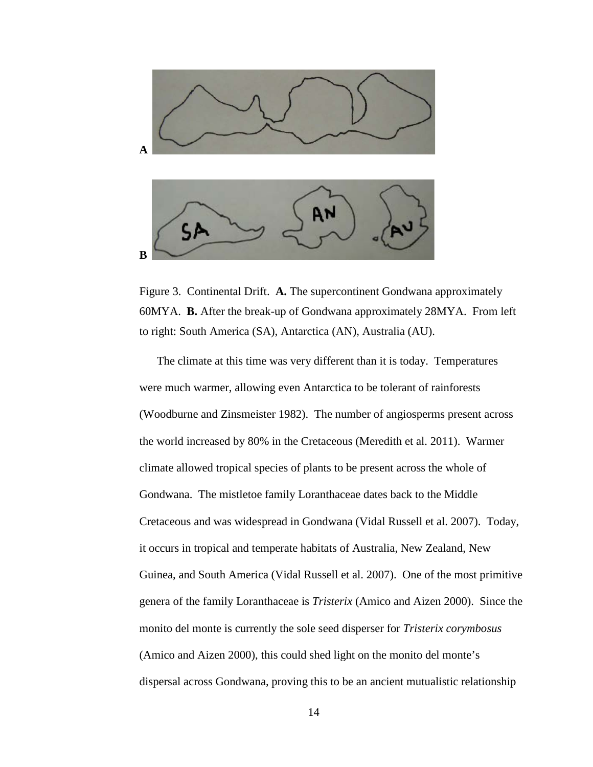

Figure 3. Continental Drift. **A.** The supercontinent Gondwana approximately 60MYA. **B.** After the break-up of Gondwana approximately 28MYA. From left to right: South America (SA), Antarctica (AN), Australia (AU).

The climate at this time was very different than it is today. Temperatures were much warmer, allowing even Antarctica to be tolerant of rainforests (Woodburne and Zinsmeister 1982). The number of angiosperms present across the world increased by 80% in the Cretaceous (Meredith et al. 2011). Warmer climate allowed tropical species of plants to be present across the whole of Gondwana. The mistletoe family Loranthaceae dates back to the Middle Cretaceous and was widespread in Gondwana (Vidal Russell et al. 2007). Today, it occurs in tropical and temperate habitats of Australia, New Zealand, New Guinea, and South America (Vidal Russell et al. 2007). One of the most primitive genera of the family Loranthaceae is *Tristerix* (Amico and Aizen 2000). Since the monito del monte is currently the sole seed disperser for *Tristerix corymbosus* (Amico and Aizen 2000), this could shed light on the monito del monte's dispersal across Gondwana, proving this to be an ancient mutualistic relationship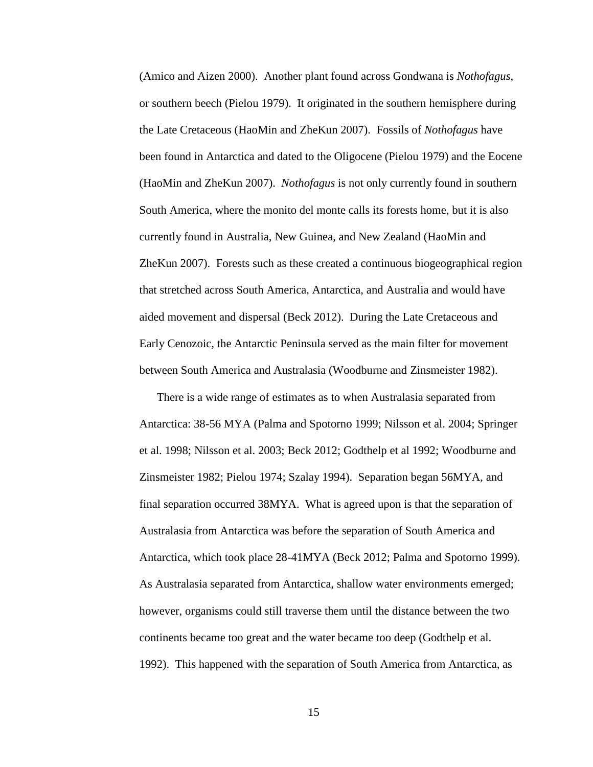(Amico and Aizen 2000). Another plant found across Gondwana is *Nothofagus*, or southern beech (Pielou 1979). It originated in the southern hemisphere during the Late Cretaceous (HaoMin and ZheKun 2007). Fossils of *Nothofagus* have been found in Antarctica and dated to the Oligocene (Pielou 1979) and the Eocene (HaoMin and ZheKun 2007). *Nothofagus* is not only currently found in southern South America, where the monito del monte calls its forests home, but it is also currently found in Australia, New Guinea, and New Zealand (HaoMin and ZheKun 2007). Forests such as these created a continuous biogeographical region that stretched across South America, Antarctica, and Australia and would have aided movement and dispersal (Beck 2012). During the Late Cretaceous and Early Cenozoic, the Antarctic Peninsula served as the main filter for movement between South America and Australasia (Woodburne and Zinsmeister 1982).

There is a wide range of estimates as to when Australasia separated from Antarctica: 38-56 MYA (Palma and Spotorno 1999; Nilsson et al. 2004; Springer et al. 1998; Nilsson et al. 2003; Beck 2012; Godthelp et al 1992; Woodburne and Zinsmeister 1982; Pielou 1974; Szalay 1994). Separation began 56MYA, and final separation occurred 38MYA. What is agreed upon is that the separation of Australasia from Antarctica was before the separation of South America and Antarctica, which took place 28-41MYA (Beck 2012; Palma and Spotorno 1999). As Australasia separated from Antarctica, shallow water environments emerged; however, organisms could still traverse them until the distance between the two continents became too great and the water became too deep (Godthelp et al. 1992). This happened with the separation of South America from Antarctica, as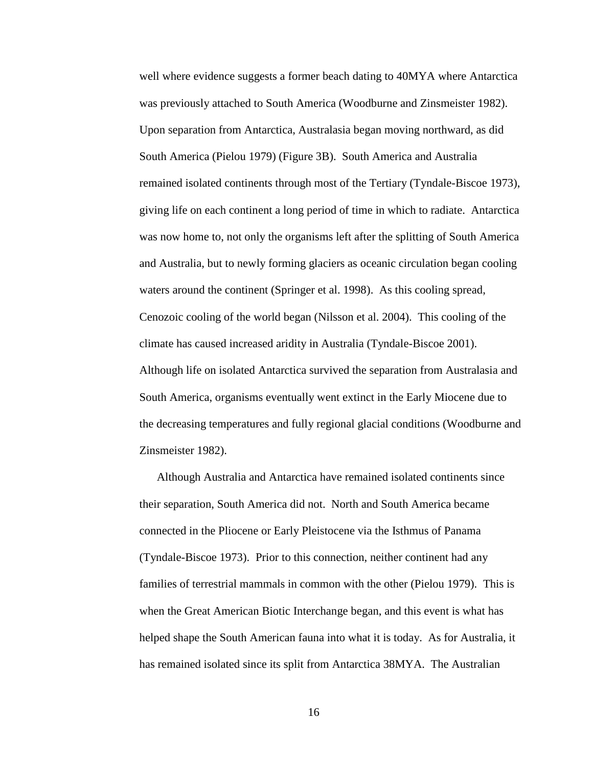well where evidence suggests a former beach dating to 40MYA where Antarctica was previously attached to South America (Woodburne and Zinsmeister 1982). Upon separation from Antarctica, Australasia began moving northward, as did South America (Pielou 1979) (Figure 3B). South America and Australia remained isolated continents through most of the Tertiary (Tyndale-Biscoe 1973), giving life on each continent a long period of time in which to radiate. Antarctica was now home to, not only the organisms left after the splitting of South America and Australia, but to newly forming glaciers as oceanic circulation began cooling waters around the continent (Springer et al. 1998). As this cooling spread, Cenozoic cooling of the world began (Nilsson et al. 2004). This cooling of the climate has caused increased aridity in Australia (Tyndale-Biscoe 2001). Although life on isolated Antarctica survived the separation from Australasia and South America, organisms eventually went extinct in the Early Miocene due to the decreasing temperatures and fully regional glacial conditions (Woodburne and Zinsmeister 1982).

Although Australia and Antarctica have remained isolated continents since their separation, South America did not. North and South America became connected in the Pliocene or Early Pleistocene via the Isthmus of Panama (Tyndale-Biscoe 1973). Prior to this connection, neither continent had any families of terrestrial mammals in common with the other (Pielou 1979). This is when the Great American Biotic Interchange began, and this event is what has helped shape the South American fauna into what it is today. As for Australia, it has remained isolated since its split from Antarctica 38MYA. The Australian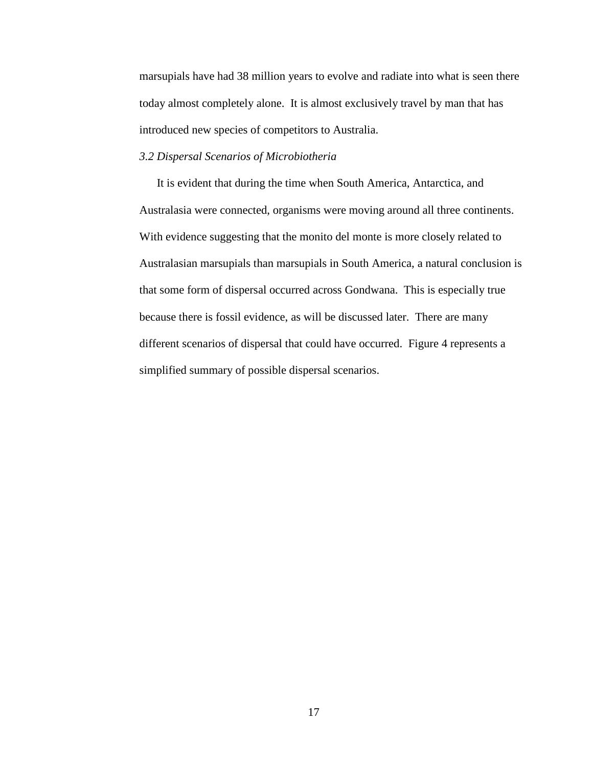marsupials have had 38 million years to evolve and radiate into what is seen there today almost completely alone. It is almost exclusively travel by man that has introduced new species of competitors to Australia.

## *3.2 Dispersal Scenarios of Microbiotheria*

It is evident that during the time when South America, Antarctica, and Australasia were connected, organisms were moving around all three continents. With evidence suggesting that the monito del monte is more closely related to Australasian marsupials than marsupials in South America, a natural conclusion is that some form of dispersal occurred across Gondwana. This is especially true because there is fossil evidence, as will be discussed later. There are many different scenarios of dispersal that could have occurred. Figure 4 represents a simplified summary of possible dispersal scenarios.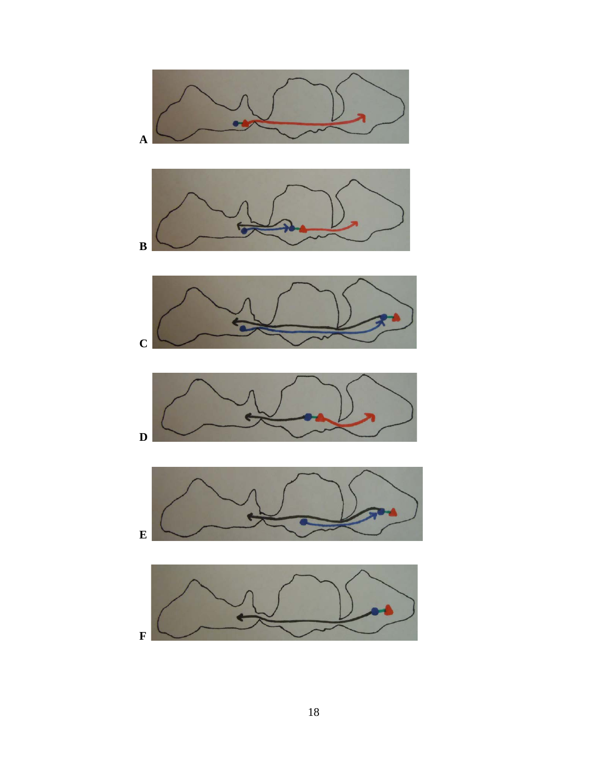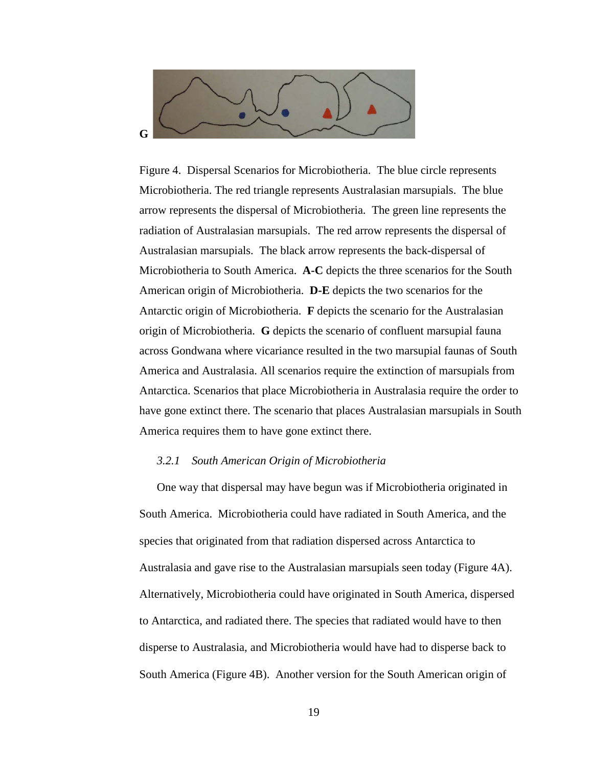

Figure 4. Dispersal Scenarios for Microbiotheria. The blue circle represents Microbiotheria. The red triangle represents Australasian marsupials. The blue arrow represents the dispersal of Microbiotheria. The green line represents the radiation of Australasian marsupials. The red arrow represents the dispersal of Australasian marsupials. The black arrow represents the back-dispersal of Microbiotheria to South America. **A-C** depicts the three scenarios for the South American origin of Microbiotheria. **D-E** depicts the two scenarios for the Antarctic origin of Microbiotheria. **F** depicts the scenario for the Australasian origin of Microbiotheria. **G** depicts the scenario of confluent marsupial fauna across Gondwana where vicariance resulted in the two marsupial faunas of South America and Australasia. All scenarios require the extinction of marsupials from Antarctica. Scenarios that place Microbiotheria in Australasia require the order to have gone extinct there. The scenario that places Australasian marsupials in South America requires them to have gone extinct there.

## *3.2.1 South American Origin of Microbiotheria*

One way that dispersal may have begun was if Microbiotheria originated in South America. Microbiotheria could have radiated in South America, and the species that originated from that radiation dispersed across Antarctica to Australasia and gave rise to the Australasian marsupials seen today (Figure 4A). Alternatively, Microbiotheria could have originated in South America, dispersed to Antarctica, and radiated there. The species that radiated would have to then disperse to Australasia, and Microbiotheria would have had to disperse back to South America (Figure 4B). Another version for the South American origin of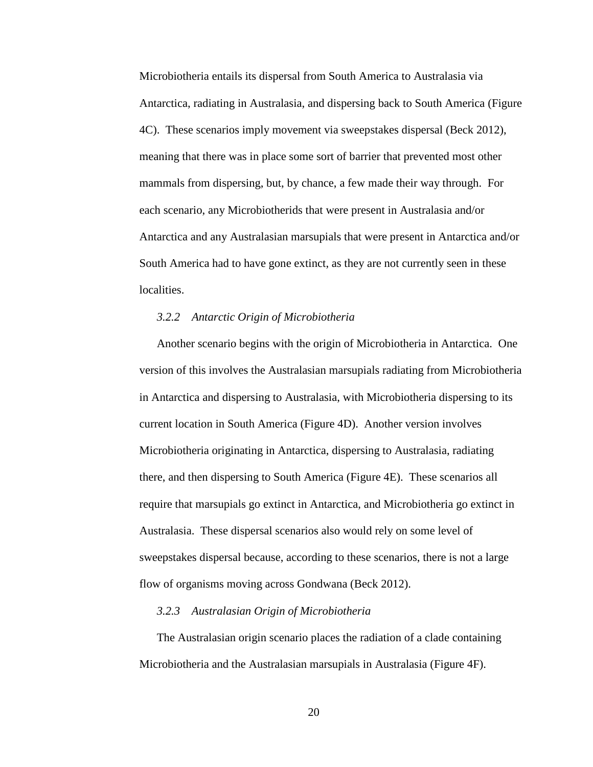Microbiotheria entails its dispersal from South America to Australasia via Antarctica, radiating in Australasia, and dispersing back to South America (Figure 4C). These scenarios imply movement via sweepstakes dispersal (Beck 2012), meaning that there was in place some sort of barrier that prevented most other mammals from dispersing, but, by chance, a few made their way through. For each scenario, any Microbiotherids that were present in Australasia and/or Antarctica and any Australasian marsupials that were present in Antarctica and/or South America had to have gone extinct, as they are not currently seen in these localities.

## *3.2.2 Antarctic Origin of Microbiotheria*

Another scenario begins with the origin of Microbiotheria in Antarctica. One version of this involves the Australasian marsupials radiating from Microbiotheria in Antarctica and dispersing to Australasia, with Microbiotheria dispersing to its current location in South America (Figure 4D). Another version involves Microbiotheria originating in Antarctica, dispersing to Australasia, radiating there, and then dispersing to South America (Figure 4E). These scenarios all require that marsupials go extinct in Antarctica, and Microbiotheria go extinct in Australasia. These dispersal scenarios also would rely on some level of sweepstakes dispersal because, according to these scenarios, there is not a large flow of organisms moving across Gondwana (Beck 2012).

#### *3.2.3 Australasian Origin of Microbiotheria*

The Australasian origin scenario places the radiation of a clade containing Microbiotheria and the Australasian marsupials in Australasia (Figure 4F).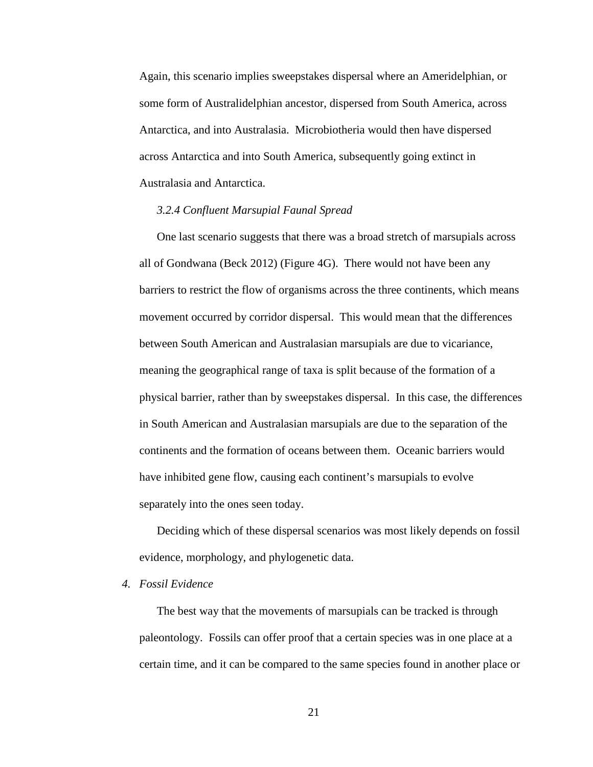Again, this scenario implies sweepstakes dispersal where an Ameridelphian, or some form of Australidelphian ancestor, dispersed from South America, across Antarctica, and into Australasia. Microbiotheria would then have dispersed across Antarctica and into South America, subsequently going extinct in Australasia and Antarctica.

#### *3.2.4 Confluent Marsupial Faunal Spread*

One last scenario suggests that there was a broad stretch of marsupials across all of Gondwana (Beck 2012) (Figure 4G). There would not have been any barriers to restrict the flow of organisms across the three continents, which means movement occurred by corridor dispersal. This would mean that the differences between South American and Australasian marsupials are due to vicariance, meaning the geographical range of taxa is split because of the formation of a physical barrier, rather than by sweepstakes dispersal. In this case, the differences in South American and Australasian marsupials are due to the separation of the continents and the formation of oceans between them. Oceanic barriers would have inhibited gene flow, causing each continent's marsupials to evolve separately into the ones seen today.

Deciding which of these dispersal scenarios was most likely depends on fossil evidence, morphology, and phylogenetic data.

### *4. Fossil Evidence*

The best way that the movements of marsupials can be tracked is through paleontology. Fossils can offer proof that a certain species was in one place at a certain time, and it can be compared to the same species found in another place or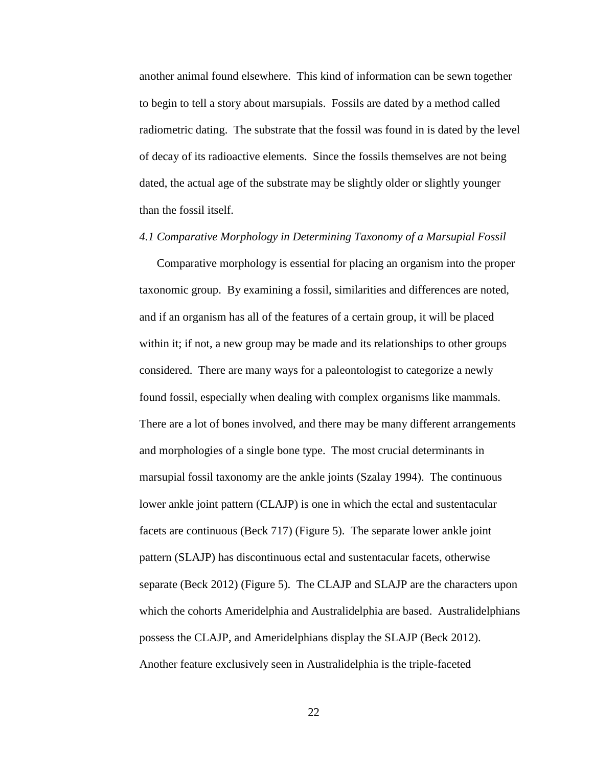another animal found elsewhere. This kind of information can be sewn together to begin to tell a story about marsupials. Fossils are dated by a method called radiometric dating. The substrate that the fossil was found in is dated by the level of decay of its radioactive elements. Since the fossils themselves are not being dated, the actual age of the substrate may be slightly older or slightly younger than the fossil itself.

#### *4.1 Comparative Morphology in Determining Taxonomy of a Marsupial Fossil*

Comparative morphology is essential for placing an organism into the proper taxonomic group. By examining a fossil, similarities and differences are noted, and if an organism has all of the features of a certain group, it will be placed within it; if not, a new group may be made and its relationships to other groups considered. There are many ways for a paleontologist to categorize a newly found fossil, especially when dealing with complex organisms like mammals. There are a lot of bones involved, and there may be many different arrangements and morphologies of a single bone type. The most crucial determinants in marsupial fossil taxonomy are the ankle joints (Szalay 1994). The continuous lower ankle joint pattern (CLAJP) is one in which the ectal and sustentacular facets are continuous (Beck 717) (Figure 5). The separate lower ankle joint pattern (SLAJP) has discontinuous ectal and sustentacular facets, otherwise separate (Beck 2012) (Figure 5). The CLAJP and SLAJP are the characters upon which the cohorts Ameridelphia and Australidelphia are based. Australidelphians possess the CLAJP, and Ameridelphians display the SLAJP (Beck 2012). Another feature exclusively seen in Australidelphia is the triple-faceted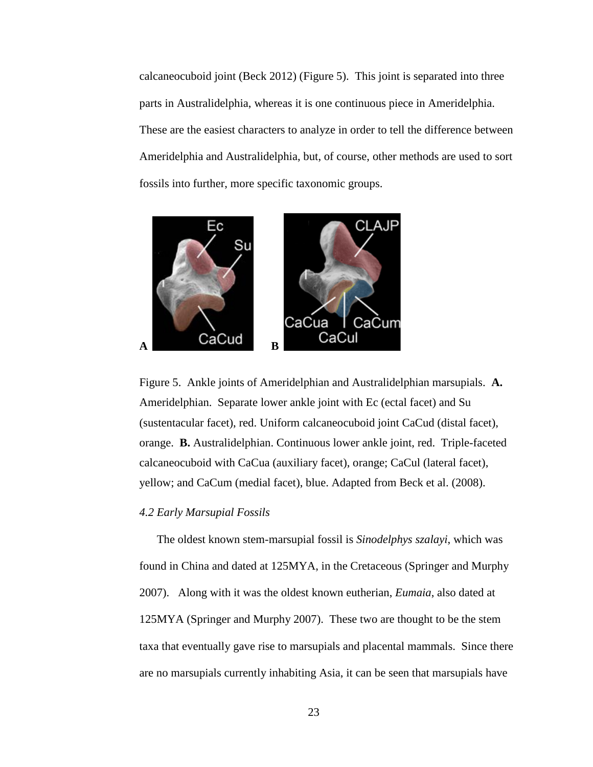calcaneocuboid joint (Beck 2012) (Figure 5). This joint is separated into three parts in Australidelphia, whereas it is one continuous piece in Ameridelphia. These are the easiest characters to analyze in order to tell the difference between Ameridelphia and Australidelphia, but, of course, other methods are used to sort fossils into further, more specific taxonomic groups.





#### *4.2 Early Marsupial Fossils*

The oldest known stem-marsupial fossil is *Sinodelphys szalayi*, which was found in China and dated at 125MYA, in the Cretaceous (Springer and Murphy 2007). Along with it was the oldest known eutherian, *Eumaia*, also dated at 125MYA (Springer and Murphy 2007). These two are thought to be the stem taxa that eventually gave rise to marsupials and placental mammals. Since there are no marsupials currently inhabiting Asia, it can be seen that marsupials have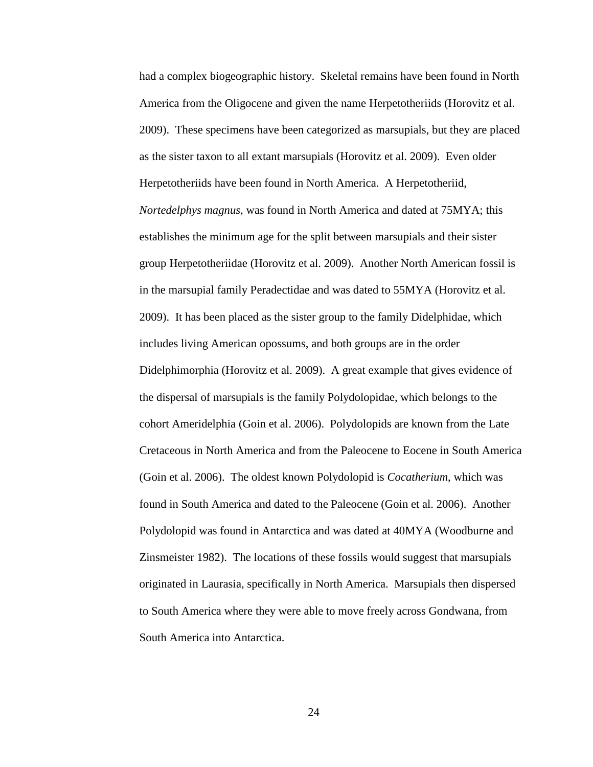had a complex biogeographic history. Skeletal remains have been found in North America from the Oligocene and given the name Herpetotheriids (Horovitz et al. 2009). These specimens have been categorized as marsupials, but they are placed as the sister taxon to all extant marsupials (Horovitz et al. 2009). Even older Herpetotheriids have been found in North America. A Herpetotheriid, *Nortedelphys magnus*, was found in North America and dated at 75MYA; this establishes the minimum age for the split between marsupials and their sister group Herpetotheriidae (Horovitz et al. 2009). Another North American fossil is in the marsupial family Peradectidae and was dated to 55MYA (Horovitz et al. 2009). It has been placed as the sister group to the family Didelphidae, which includes living American opossums, and both groups are in the order Didelphimorphia (Horovitz et al. 2009). A great example that gives evidence of the dispersal of marsupials is the family Polydolopidae, which belongs to the cohort Ameridelphia (Goin et al. 2006). Polydolopids are known from the Late Cretaceous in North America and from the Paleocene to Eocene in South America (Goin et al. 2006). The oldest known Polydolopid is *Cocatherium*, which was found in South America and dated to the Paleocene (Goin et al. 2006). Another Polydolopid was found in Antarctica and was dated at 40MYA (Woodburne and Zinsmeister 1982). The locations of these fossils would suggest that marsupials originated in Laurasia, specifically in North America. Marsupials then dispersed to South America where they were able to move freely across Gondwana, from South America into Antarctica.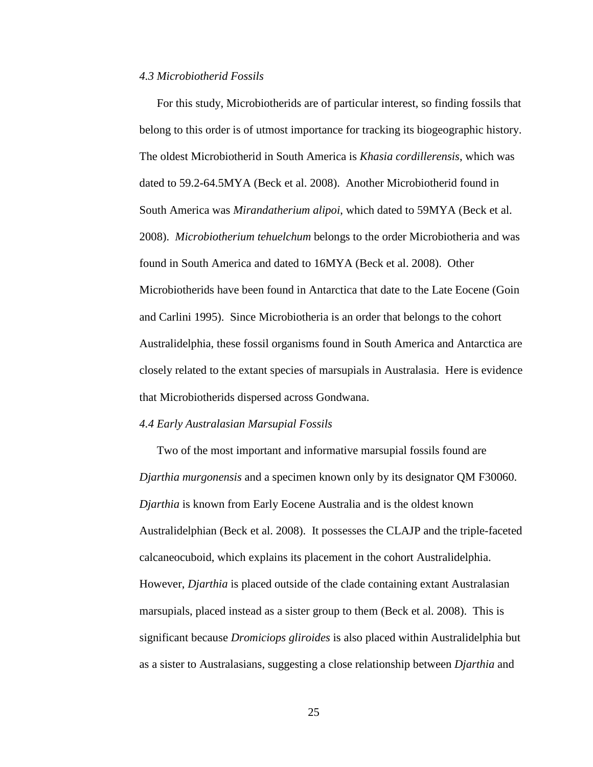#### *4.3 Microbiotherid Fossils*

For this study, Microbiotherids are of particular interest, so finding fossils that belong to this order is of utmost importance for tracking its biogeographic history. The oldest Microbiotherid in South America is *Khasia cordillerensis*, which was dated to 59.2-64.5MYA (Beck et al. 2008). Another Microbiotherid found in South America was *Mirandatherium alipoi*, which dated to 59MYA (Beck et al. 2008). *Microbiotherium tehuelchum* belongs to the order Microbiotheria and was found in South America and dated to 16MYA (Beck et al. 2008). Other Microbiotherids have been found in Antarctica that date to the Late Eocene (Goin and Carlini 1995). Since Microbiotheria is an order that belongs to the cohort Australidelphia, these fossil organisms found in South America and Antarctica are closely related to the extant species of marsupials in Australasia. Here is evidence that Microbiotherids dispersed across Gondwana.

#### *4.4 Early Australasian Marsupial Fossils*

Two of the most important and informative marsupial fossils found are *Djarthia murgonensis* and a specimen known only by its designator QM F30060. *Djarthia* is known from Early Eocene Australia and is the oldest known Australidelphian (Beck et al. 2008). It possesses the CLAJP and the triple-faceted calcaneocuboid, which explains its placement in the cohort Australidelphia. However, *Djarthia* is placed outside of the clade containing extant Australasian marsupials, placed instead as a sister group to them (Beck et al. 2008). This is significant because *Dromiciops gliroides* is also placed within Australidelphia but as a sister to Australasians, suggesting a close relationship between *Djarthia* and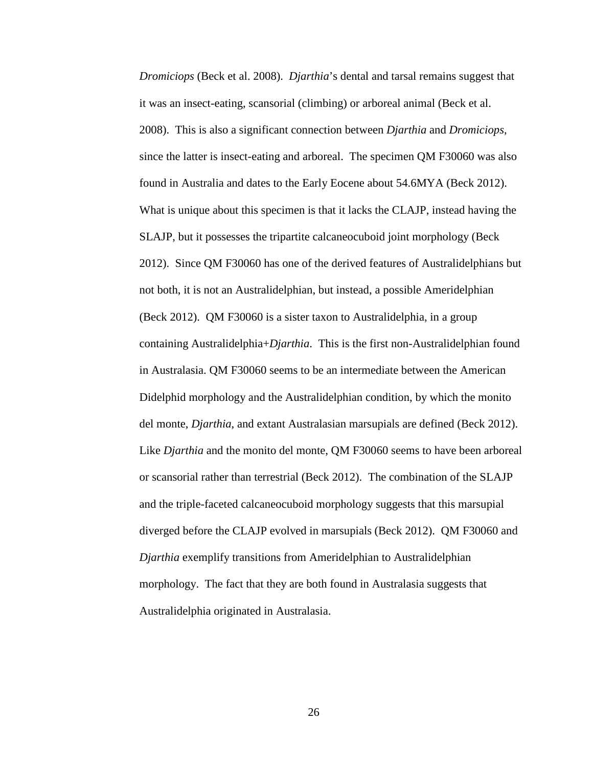*Dromiciops* (Beck et al. 2008). *Djarthia*'s dental and tarsal remains suggest that it was an insect-eating, scansorial (climbing) or arboreal animal (Beck et al. 2008). This is also a significant connection between *Djarthia* and *Dromiciops*, since the latter is insect-eating and arboreal. The specimen QM F30060 was also found in Australia and dates to the Early Eocene about 54.6MYA (Beck 2012). What is unique about this specimen is that it lacks the CLAJP, instead having the SLAJP, but it possesses the tripartite calcaneocuboid joint morphology (Beck 2012). Since QM F30060 has one of the derived features of Australidelphians but not both, it is not an Australidelphian, but instead, a possible Ameridelphian (Beck 2012). QM F30060 is a sister taxon to Australidelphia, in a group containing Australidelphia+*Djarthia*. This is the first non-Australidelphian found in Australasia. QM F30060 seems to be an intermediate between the American Didelphid morphology and the Australidelphian condition, by which the monito del monte, *Djarthia*, and extant Australasian marsupials are defined (Beck 2012). Like *Djarthia* and the monito del monte, QM F30060 seems to have been arboreal or scansorial rather than terrestrial (Beck 2012). The combination of the SLAJP and the triple-faceted calcaneocuboid morphology suggests that this marsupial diverged before the CLAJP evolved in marsupials (Beck 2012). QM F30060 and *Djarthia* exemplify transitions from Ameridelphian to Australidelphian morphology. The fact that they are both found in Australasia suggests that Australidelphia originated in Australasia.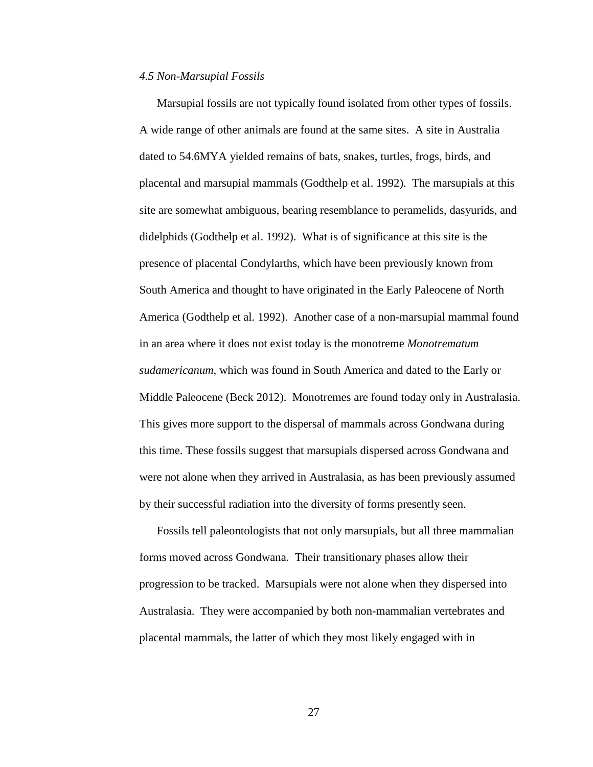#### *4.5 Non-Marsupial Fossils*

Marsupial fossils are not typically found isolated from other types of fossils. A wide range of other animals are found at the same sites. A site in Australia dated to 54.6MYA yielded remains of bats, snakes, turtles, frogs, birds, and placental and marsupial mammals (Godthelp et al. 1992). The marsupials at this site are somewhat ambiguous, bearing resemblance to peramelids, dasyurids, and didelphids (Godthelp et al. 1992). What is of significance at this site is the presence of placental Condylarths, which have been previously known from South America and thought to have originated in the Early Paleocene of North America (Godthelp et al. 1992). Another case of a non-marsupial mammal found in an area where it does not exist today is the monotreme *Monotrematum sudamericanum*, which was found in South America and dated to the Early or Middle Paleocene (Beck 2012). Monotremes are found today only in Australasia. This gives more support to the dispersal of mammals across Gondwana during this time. These fossils suggest that marsupials dispersed across Gondwana and were not alone when they arrived in Australasia, as has been previously assumed by their successful radiation into the diversity of forms presently seen.

Fossils tell paleontologists that not only marsupials, but all three mammalian forms moved across Gondwana. Their transitionary phases allow their progression to be tracked. Marsupials were not alone when they dispersed into Australasia. They were accompanied by both non-mammalian vertebrates and placental mammals, the latter of which they most likely engaged with in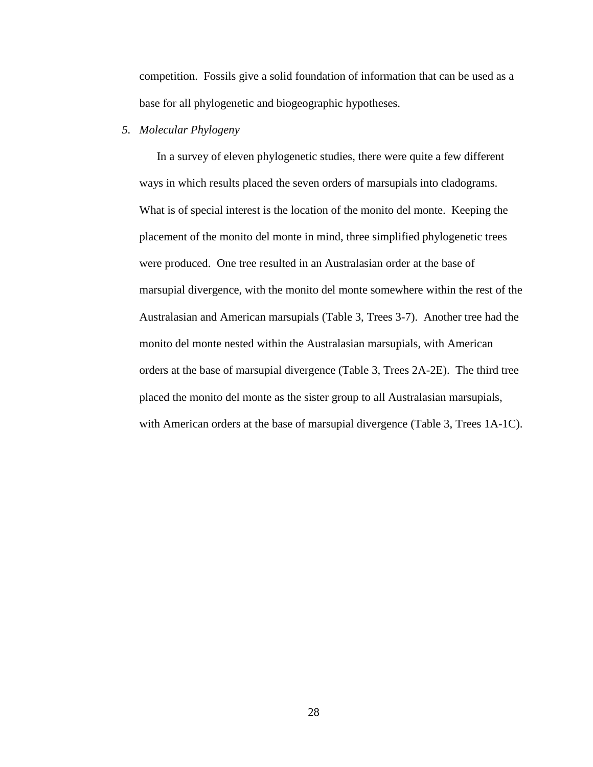competition. Fossils give a solid foundation of information that can be used as a base for all phylogenetic and biogeographic hypotheses.

## *5. Molecular Phylogeny*

In a survey of eleven phylogenetic studies, there were quite a few different ways in which results placed the seven orders of marsupials into cladograms. What is of special interest is the location of the monito del monte. Keeping the placement of the monito del monte in mind, three simplified phylogenetic trees were produced. One tree resulted in an Australasian order at the base of marsupial divergence, with the monito del monte somewhere within the rest of the Australasian and American marsupials (Table 3, Trees 3-7). Another tree had the monito del monte nested within the Australasian marsupials, with American orders at the base of marsupial divergence (Table 3, Trees 2A-2E). The third tree placed the monito del monte as the sister group to all Australasian marsupials, with American orders at the base of marsupial divergence (Table 3, Trees 1A-1C).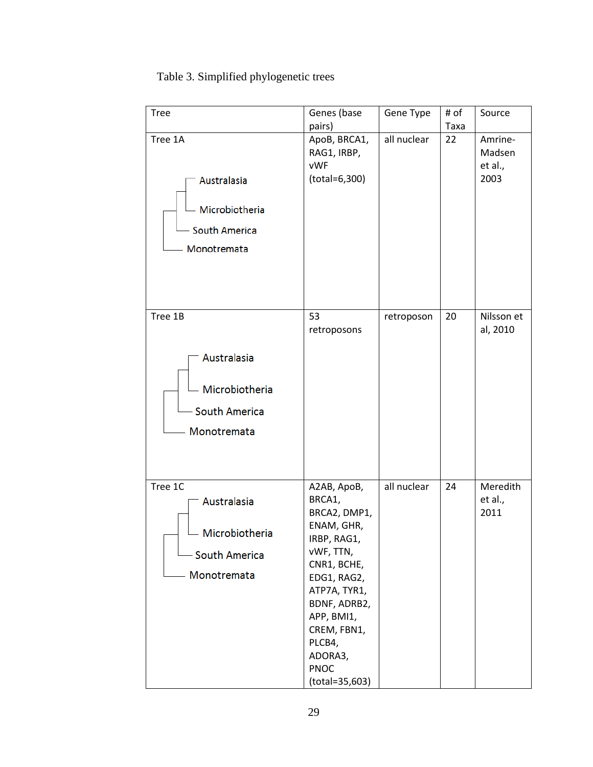## Table 3. Simplified phylogenetic trees

| <b>Tree</b>                                                                     | Genes (base                                                                                                                                                                                                                      | Gene Type   | # of | Source                               |
|---------------------------------------------------------------------------------|----------------------------------------------------------------------------------------------------------------------------------------------------------------------------------------------------------------------------------|-------------|------|--------------------------------------|
|                                                                                 | pairs)                                                                                                                                                                                                                           |             | Taxa |                                      |
| Tree 1A<br>Australasia<br>Microbiotheria<br>- South America<br>Monotremata      | ApoB, BRCA1,<br>RAG1, IRBP,<br><b>vWF</b><br>(total=6,300)                                                                                                                                                                       | all nuclear | 22   | Amrine-<br>Madsen<br>et al.,<br>2003 |
| Tree 1B<br>Australasia<br>Microbiotheria<br><b>South America</b><br>Monotremata | 53<br>retroposons                                                                                                                                                                                                                | retroposon  | 20   | Nilsson et<br>al, 2010               |
| Tree 1C<br>Australasia<br>Microbiotheria<br><b>South America</b><br>Monotremata | A2AB, ApoB,<br>BRCA1,<br>BRCA2, DMP1,<br>ENAM, GHR,<br>IRBP, RAG1,<br>vWF, TTN,<br>CNR1, BCHE,<br>EDG1, RAG2,<br>ATP7A, TYR1,<br>BDNF, ADRB2,<br>APP, BMI1,<br>CREM, FBN1,<br>PLCB4,<br>ADORA3,<br><b>PNOC</b><br>(total=35,603) | all nuclear | 24   | Meredith<br>et al.,<br>2011          |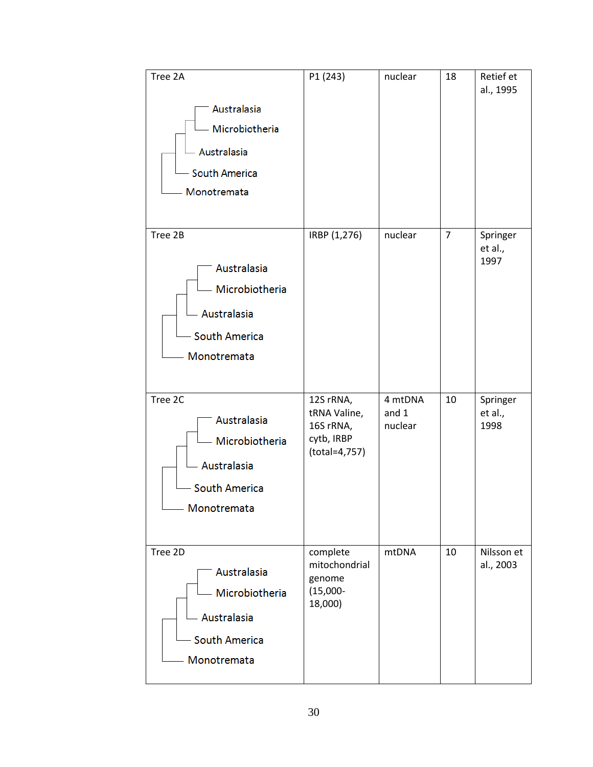| Tree 2A<br>Australasia<br>Microbiotheria<br>Australasia<br><b>South America</b><br>Monotremata   | P1 (243)                                                              | nuclear                     | 18             | Retief et<br>al., 1995      |
|--------------------------------------------------------------------------------------------------|-----------------------------------------------------------------------|-----------------------------|----------------|-----------------------------|
| Tree 2B<br>Australasia<br>Microbiotheria<br>Australasia<br>- South America<br>Monotremata        | IRBP (1,276)                                                          | nuclear                     | $\overline{7}$ | Springer<br>et al.,<br>1997 |
| Tree 2C<br>Australasia<br>- Microbiotheria<br>Australasia<br><b>South America</b><br>Monotremata | 12S rRNA,<br>tRNA Valine,<br>16S rRNA,<br>cytb, IRBP<br>(total=4,757) | 4 mtDNA<br>and 1<br>nuclear | 10             | Springer<br>et al.,<br>1998 |
| Tree 2D<br>Australasia<br>Microbiotheria<br>Australasia<br><b>South America</b><br>Monotremata   | complete<br>mitochondrial<br>genome<br>$(15,000 -$<br>18,000)         | mtDNA                       | 10             | Nilsson et<br>al., 2003     |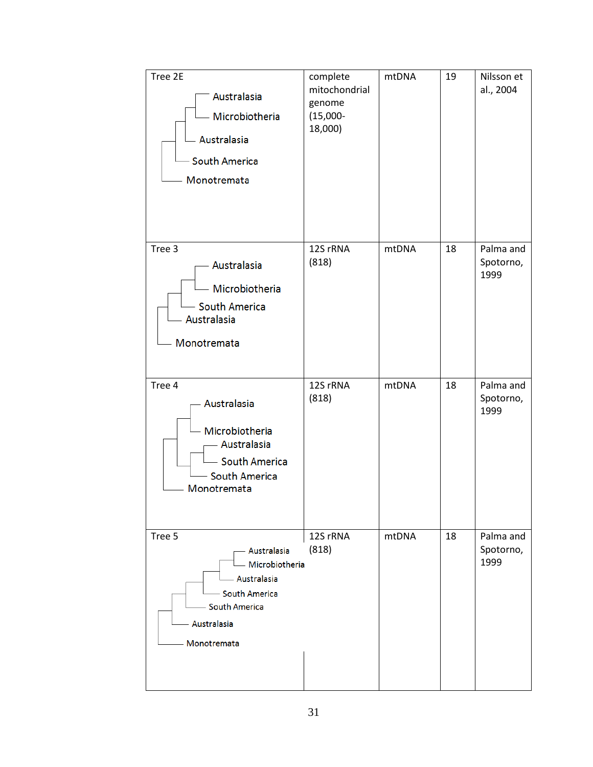| Tree 2E<br>Australasia<br>- Microbiotheria<br>- Australasia<br>- South America<br>Monotremata                              | complete<br>mitochondrial<br>genome<br>$(15,000 -$<br>18,000) | mtDNA | 19 | Nilsson et<br>al., 2004        |
|----------------------------------------------------------------------------------------------------------------------------|---------------------------------------------------------------|-------|----|--------------------------------|
| Tree 3<br>Australasia<br>- Microbiotheria<br>- South America<br>Australasia<br>Monotremata                                 | 12S rRNA<br>(818)                                             | mtDNA | 18 | Palma and<br>Spotorno,<br>1999 |
| Tree 4<br>Australasia<br>Microbiotheria<br>- Australasia<br>- South America<br><b>South America</b><br>Monotremata         | 12S rRNA<br>(818)                                             | mtDNA | 18 | Palma and<br>Spotorno,<br>1999 |
| Tree 5<br>Australasia<br>Microbiotheria<br>Australasia<br>- South America<br>- South America<br>Australasia<br>Monotremata | 12S rRNA<br>(818)                                             | mtDNA | 18 | Palma and<br>Spotorno,<br>1999 |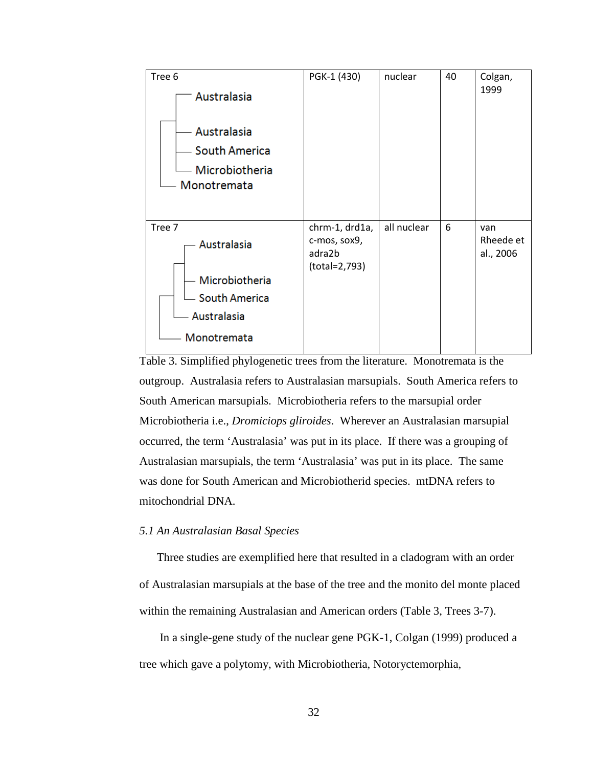

Table 3. Simplified phylogenetic trees from the literature. Monotremata is the outgroup. Australasia refers to Australasian marsupials. South America refers to South American marsupials. Microbiotheria refers to the marsupial order Microbiotheria i.e., *Dromiciops gliroides*. Wherever an Australasian marsupial occurred, the term 'Australasia' was put in its place. If there was a grouping of Australasian marsupials, the term 'Australasia' was put in its place. The same was done for South American and Microbiotherid species. mtDNA refers to mitochondrial DNA.

#### *5.1 An Australasian Basal Species*

Three studies are exemplified here that resulted in a cladogram with an order of Australasian marsupials at the base of the tree and the monito del monte placed within the remaining Australasian and American orders (Table 3, Trees 3-7).

In a single-gene study of the nuclear gene PGK-1, Colgan (1999) produced a tree which gave a polytomy, with Microbiotheria, Notoryctemorphia,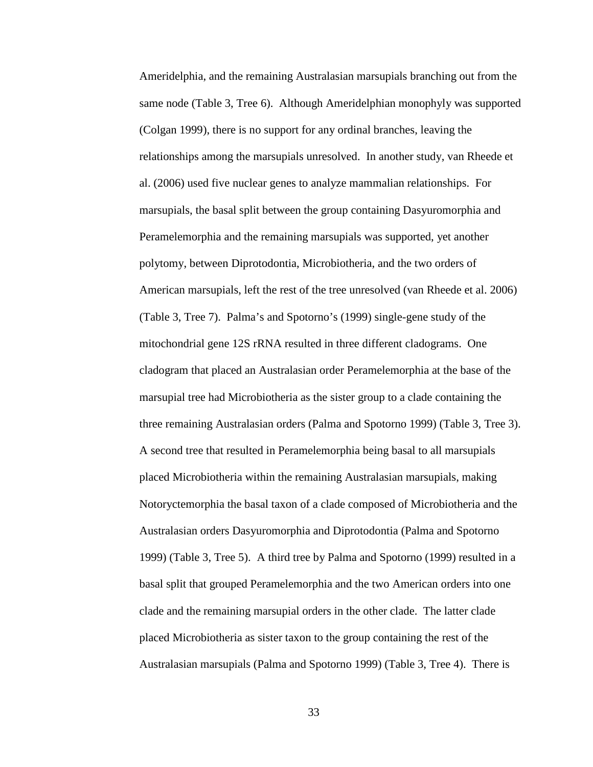Ameridelphia, and the remaining Australasian marsupials branching out from the same node (Table 3, Tree 6). Although Ameridelphian monophyly was supported (Colgan 1999), there is no support for any ordinal branches, leaving the relationships among the marsupials unresolved. In another study, van Rheede et al. (2006) used five nuclear genes to analyze mammalian relationships. For marsupials, the basal split between the group containing Dasyuromorphia and Peramelemorphia and the remaining marsupials was supported, yet another polytomy, between Diprotodontia, Microbiotheria, and the two orders of American marsupials, left the rest of the tree unresolved (van Rheede et al. 2006) (Table 3, Tree 7). Palma's and Spotorno's (1999) single-gene study of the mitochondrial gene 12S rRNA resulted in three different cladograms. One cladogram that placed an Australasian order Peramelemorphia at the base of the marsupial tree had Microbiotheria as the sister group to a clade containing the three remaining Australasian orders (Palma and Spotorno 1999) (Table 3, Tree 3). A second tree that resulted in Peramelemorphia being basal to all marsupials placed Microbiotheria within the remaining Australasian marsupials, making Notoryctemorphia the basal taxon of a clade composed of Microbiotheria and the Australasian orders Dasyuromorphia and Diprotodontia (Palma and Spotorno 1999) (Table 3, Tree 5). A third tree by Palma and Spotorno (1999) resulted in a basal split that grouped Peramelemorphia and the two American orders into one clade and the remaining marsupial orders in the other clade. The latter clade placed Microbiotheria as sister taxon to the group containing the rest of the Australasian marsupials (Palma and Spotorno 1999) (Table 3, Tree 4). There is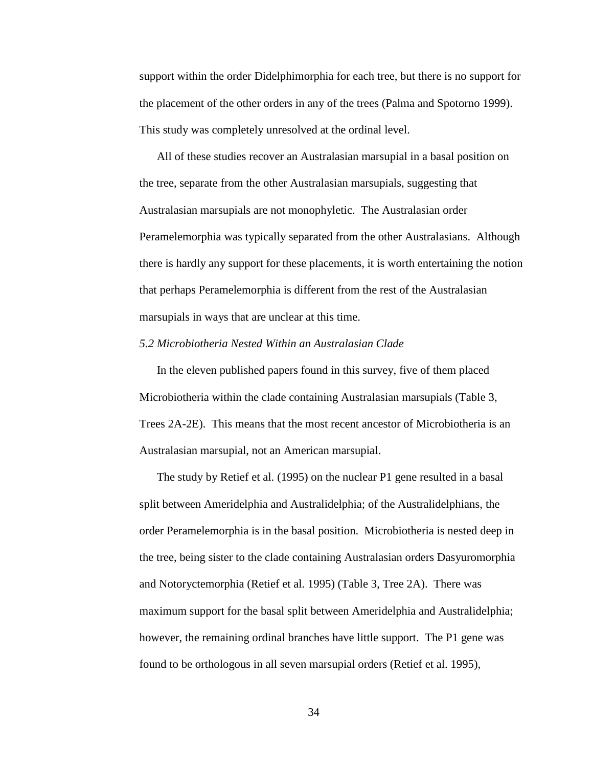support within the order Didelphimorphia for each tree, but there is no support for the placement of the other orders in any of the trees (Palma and Spotorno 1999). This study was completely unresolved at the ordinal level.

All of these studies recover an Australasian marsupial in a basal position on the tree, separate from the other Australasian marsupials, suggesting that Australasian marsupials are not monophyletic. The Australasian order Peramelemorphia was typically separated from the other Australasians. Although there is hardly any support for these placements, it is worth entertaining the notion that perhaps Peramelemorphia is different from the rest of the Australasian marsupials in ways that are unclear at this time.

#### *5.2 Microbiotheria Nested Within an Australasian Clade*

In the eleven published papers found in this survey, five of them placed Microbiotheria within the clade containing Australasian marsupials (Table 3, Trees 2A-2E). This means that the most recent ancestor of Microbiotheria is an Australasian marsupial, not an American marsupial.

The study by Retief et al. (1995) on the nuclear P1 gene resulted in a basal split between Ameridelphia and Australidelphia; of the Australidelphians, the order Peramelemorphia is in the basal position. Microbiotheria is nested deep in the tree, being sister to the clade containing Australasian orders Dasyuromorphia and Notoryctemorphia (Retief et al. 1995) (Table 3, Tree 2A). There was maximum support for the basal split between Ameridelphia and Australidelphia; however, the remaining ordinal branches have little support. The P1 gene was found to be orthologous in all seven marsupial orders (Retief et al. 1995),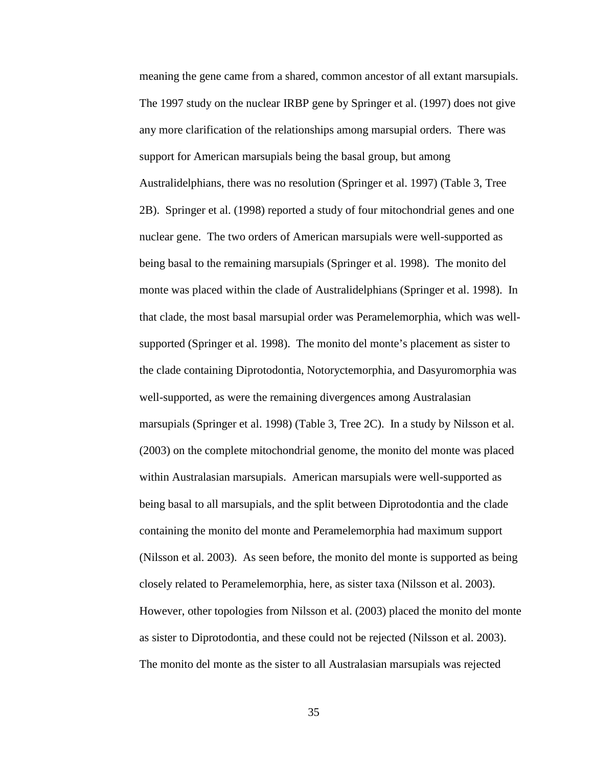meaning the gene came from a shared, common ancestor of all extant marsupials. The 1997 study on the nuclear IRBP gene by Springer et al. (1997) does not give any more clarification of the relationships among marsupial orders. There was support for American marsupials being the basal group, but among Australidelphians, there was no resolution (Springer et al. 1997) (Table 3, Tree 2B). Springer et al. (1998) reported a study of four mitochondrial genes and one nuclear gene. The two orders of American marsupials were well-supported as being basal to the remaining marsupials (Springer et al. 1998). The monito del monte was placed within the clade of Australidelphians (Springer et al. 1998). In that clade, the most basal marsupial order was Peramelemorphia, which was wellsupported (Springer et al. 1998). The monito del monte's placement as sister to the clade containing Diprotodontia, Notoryctemorphia, and Dasyuromorphia was well-supported, as were the remaining divergences among Australasian marsupials (Springer et al. 1998) (Table 3, Tree 2C). In a study by Nilsson et al. (2003) on the complete mitochondrial genome, the monito del monte was placed within Australasian marsupials. American marsupials were well-supported as being basal to all marsupials, and the split between Diprotodontia and the clade containing the monito del monte and Peramelemorphia had maximum support (Nilsson et al. 2003). As seen before, the monito del monte is supported as being closely related to Peramelemorphia, here, as sister taxa (Nilsson et al. 2003). However, other topologies from Nilsson et al. (2003) placed the monito del monte as sister to Diprotodontia, and these could not be rejected (Nilsson et al. 2003). The monito del monte as the sister to all Australasian marsupials was rejected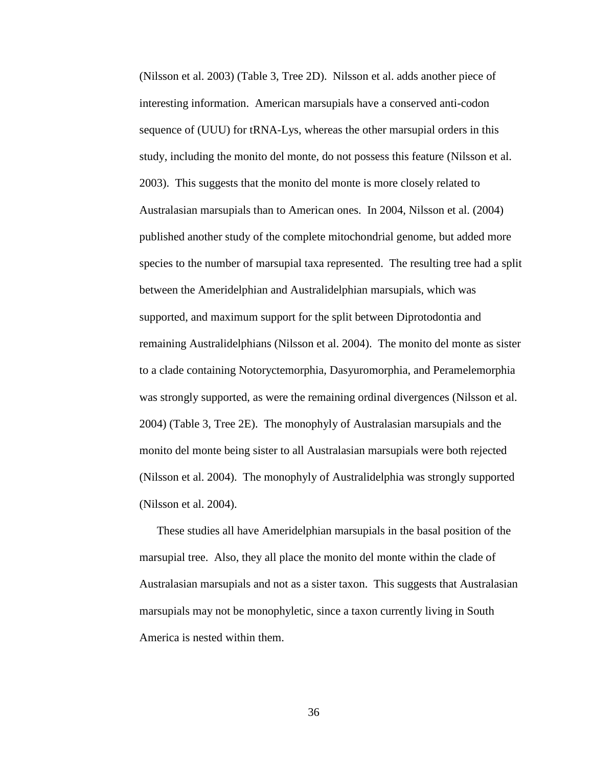(Nilsson et al. 2003) (Table 3, Tree 2D). Nilsson et al. adds another piece of interesting information. American marsupials have a conserved anti-codon sequence of (UUU) for tRNA-Lys, whereas the other marsupial orders in this study, including the monito del monte, do not possess this feature (Nilsson et al. 2003). This suggests that the monito del monte is more closely related to Australasian marsupials than to American ones. In 2004, Nilsson et al. (2004) published another study of the complete mitochondrial genome, but added more species to the number of marsupial taxa represented. The resulting tree had a split between the Ameridelphian and Australidelphian marsupials, which was supported, and maximum support for the split between Diprotodontia and remaining Australidelphians (Nilsson et al. 2004). The monito del monte as sister to a clade containing Notoryctemorphia, Dasyuromorphia, and Peramelemorphia was strongly supported, as were the remaining ordinal divergences (Nilsson et al. 2004) (Table 3, Tree 2E). The monophyly of Australasian marsupials and the monito del monte being sister to all Australasian marsupials were both rejected (Nilsson et al. 2004). The monophyly of Australidelphia was strongly supported (Nilsson et al. 2004).

These studies all have Ameridelphian marsupials in the basal position of the marsupial tree. Also, they all place the monito del monte within the clade of Australasian marsupials and not as a sister taxon. This suggests that Australasian marsupials may not be monophyletic, since a taxon currently living in South America is nested within them.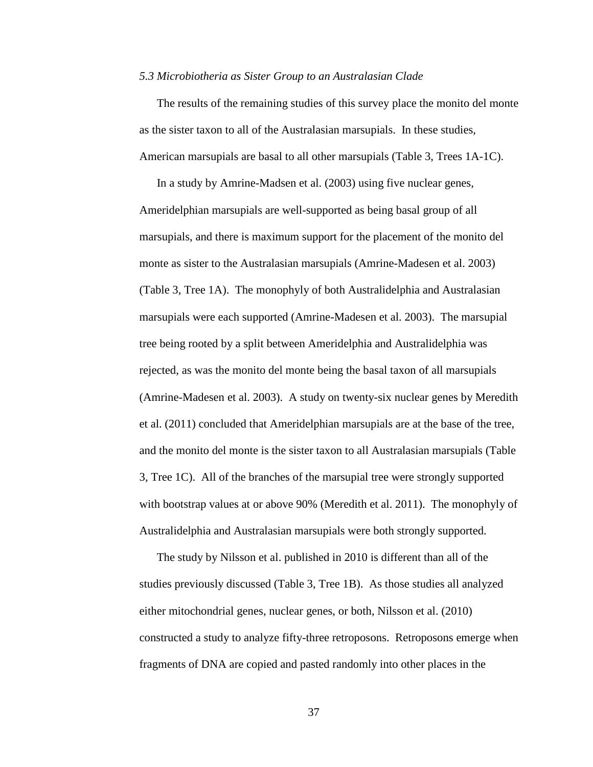#### *5.3 Microbiotheria as Sister Group to an Australasian Clade*

The results of the remaining studies of this survey place the monito del monte as the sister taxon to all of the Australasian marsupials. In these studies, American marsupials are basal to all other marsupials (Table 3, Trees 1A-1C).

In a study by Amrine-Madsen et al. (2003) using five nuclear genes, Ameridelphian marsupials are well-supported as being basal group of all marsupials, and there is maximum support for the placement of the monito del monte as sister to the Australasian marsupials (Amrine-Madesen et al. 2003) (Table 3, Tree 1A). The monophyly of both Australidelphia and Australasian marsupials were each supported (Amrine-Madesen et al. 2003). The marsupial tree being rooted by a split between Ameridelphia and Australidelphia was rejected, as was the monito del monte being the basal taxon of all marsupials (Amrine-Madesen et al. 2003). A study on twenty-six nuclear genes by Meredith et al. (2011) concluded that Ameridelphian marsupials are at the base of the tree, and the monito del monte is the sister taxon to all Australasian marsupials (Table 3, Tree 1C). All of the branches of the marsupial tree were strongly supported with bootstrap values at or above 90% (Meredith et al. 2011). The monophyly of Australidelphia and Australasian marsupials were both strongly supported.

The study by Nilsson et al. published in 2010 is different than all of the studies previously discussed (Table 3, Tree 1B). As those studies all analyzed either mitochondrial genes, nuclear genes, or both, Nilsson et al. (2010) constructed a study to analyze fifty-three retroposons. Retroposons emerge when fragments of DNA are copied and pasted randomly into other places in the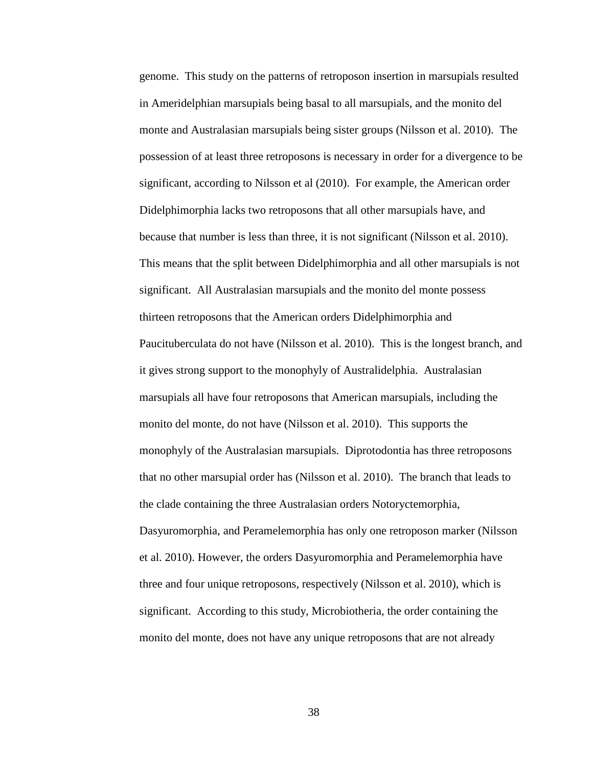genome. This study on the patterns of retroposon insertion in marsupials resulted in Ameridelphian marsupials being basal to all marsupials, and the monito del monte and Australasian marsupials being sister groups (Nilsson et al. 2010). The possession of at least three retroposons is necessary in order for a divergence to be significant, according to Nilsson et al (2010). For example, the American order Didelphimorphia lacks two retroposons that all other marsupials have, and because that number is less than three, it is not significant (Nilsson et al. 2010). This means that the split between Didelphimorphia and all other marsupials is not significant. All Australasian marsupials and the monito del monte possess thirteen retroposons that the American orders Didelphimorphia and Paucituberculata do not have (Nilsson et al. 2010). This is the longest branch, and it gives strong support to the monophyly of Australidelphia. Australasian marsupials all have four retroposons that American marsupials, including the monito del monte, do not have (Nilsson et al. 2010). This supports the monophyly of the Australasian marsupials. Diprotodontia has three retroposons that no other marsupial order has (Nilsson et al. 2010). The branch that leads to the clade containing the three Australasian orders Notoryctemorphia, Dasyuromorphia, and Peramelemorphia has only one retroposon marker (Nilsson et al. 2010). However, the orders Dasyuromorphia and Peramelemorphia have three and four unique retroposons, respectively (Nilsson et al. 2010), which is significant. According to this study, Microbiotheria, the order containing the monito del monte, does not have any unique retroposons that are not already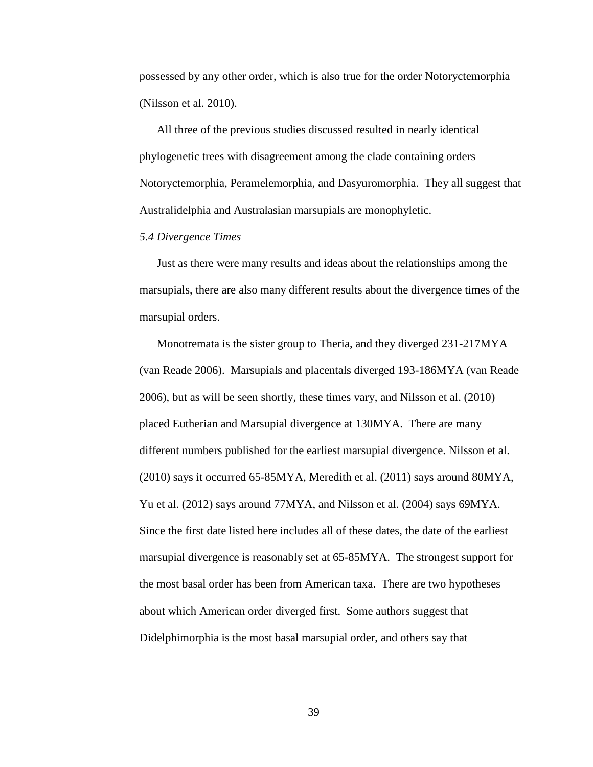possessed by any other order, which is also true for the order Notoryctemorphia (Nilsson et al. 2010).

All three of the previous studies discussed resulted in nearly identical phylogenetic trees with disagreement among the clade containing orders Notoryctemorphia, Peramelemorphia, and Dasyuromorphia. They all suggest that Australidelphia and Australasian marsupials are monophyletic.

#### *5.4 Divergence Times*

Just as there were many results and ideas about the relationships among the marsupials, there are also many different results about the divergence times of the marsupial orders.

Monotremata is the sister group to Theria, and they diverged 231-217MYA (van Reade 2006). Marsupials and placentals diverged 193-186MYA (van Reade 2006), but as will be seen shortly, these times vary, and Nilsson et al. (2010) placed Eutherian and Marsupial divergence at 130MYA. There are many different numbers published for the earliest marsupial divergence. Nilsson et al. (2010) says it occurred 65-85MYA, Meredith et al. (2011) says around 80MYA, Yu et al. (2012) says around 77MYA, and Nilsson et al. (2004) says 69MYA. Since the first date listed here includes all of these dates, the date of the earliest marsupial divergence is reasonably set at 65-85MYA. The strongest support for the most basal order has been from American taxa. There are two hypotheses about which American order diverged first. Some authors suggest that Didelphimorphia is the most basal marsupial order, and others say that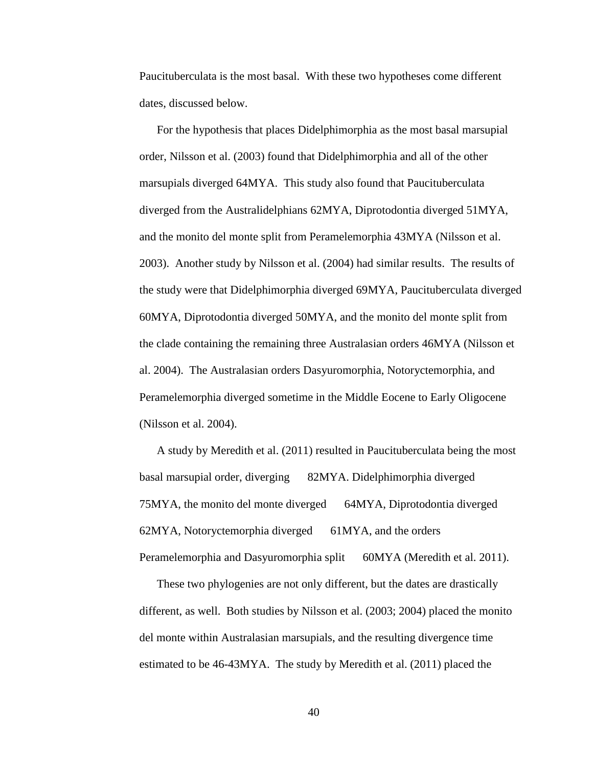Paucituberculata is the most basal. With these two hypotheses come different dates, discussed below.

For the hypothesis that places Didelphimorphia as the most basal marsupial order, Nilsson et al. (2003) found that Didelphimorphia and all of the other marsupials diverged 64MYA. This study also found that Paucituberculata diverged from the Australidelphians 62MYA, Diprotodontia diverged 51MYA, and the monito del monte split from Peramelemorphia 43MYA (Nilsson et al. 2003). Another study by Nilsson et al. (2004) had similar results. The results of the study were that Didelphimorphia diverged 69MYA, Paucituberculata diverged 60MYA, Diprotodontia diverged 50MYA, and the monito del monte split from the clade containing the remaining three Australasian orders 46MYA (Nilsson et al. 2004). The Australasian orders Dasyuromorphia, Notoryctemorphia, and Peramelemorphia diverged sometime in the Middle Eocene to Early Oligocene (Nilsson et al. 2004).

A study by Meredith et al. (2011) resulted in Paucituberculata being the most basal marsupial order, diverging 82MYA. Didelphimorphia diverged 75MYA, the monito del monte diverged 64MYA, Diprotodontia diverged 62MYA, Notoryctemorphia diverged 61MYA, and the orders Peramelemorphia and Dasyuromorphia split 60MYA (Meredith et al. 2011).

These two phylogenies are not only different, but the dates are drastically different, as well. Both studies by Nilsson et al. (2003; 2004) placed the monito del monte within Australasian marsupials, and the resulting divergence time estimated to be 46-43MYA. The study by Meredith et al. (2011) placed the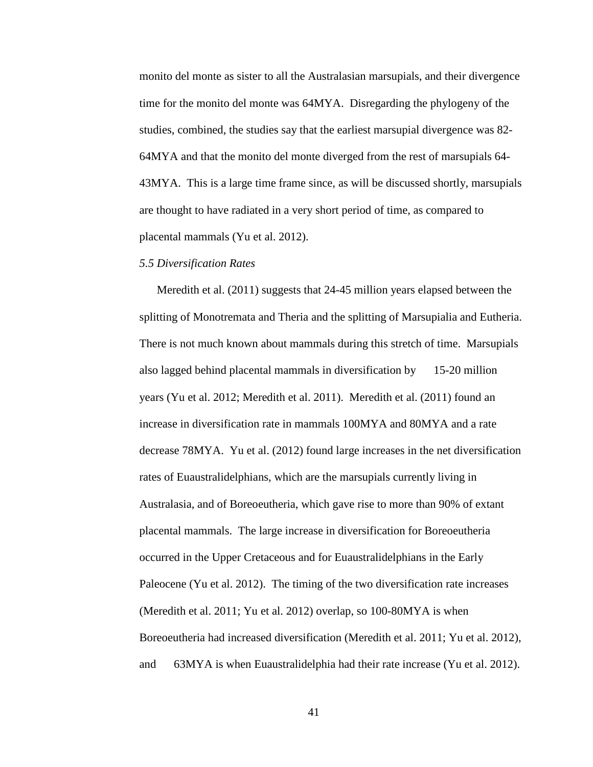monito del monte as sister to all the Australasian marsupials, and their divergence time for the monito del monte was 64MYA. Disregarding the phylogeny of the studies, combined, the studies say that the earliest marsupial divergence was 82- 64MYA and that the monito del monte diverged from the rest of marsupials 64- 43MYA. This is a large time frame since, as will be discussed shortly, marsupials are thought to have radiated in a very short period of time, as compared to placental mammals (Yu et al. 2012).

#### *5.5 Diversification Rates*

Meredith et al. (2011) suggests that 24-45 million years elapsed between the splitting of Monotremata and Theria and the splitting of Marsupialia and Eutheria. There is not much known about mammals during this stretch of time. Marsupials also lagged behind placental mammals in diversification by 15-20 million years (Yu et al. 2012; Meredith et al. 2011). Meredith et al. (2011) found an increase in diversification rate in mammals 100MYA and 80MYA and a rate decrease 78MYA. Yu et al. (2012) found large increases in the net diversification rates of Euaustralidelphians, which are the marsupials currently living in Australasia, and of Boreoeutheria, which gave rise to more than 90% of extant placental mammals. The large increase in diversification for Boreoeutheria occurred in the Upper Cretaceous and for Euaustralidelphians in the Early Paleocene (Yu et al. 2012). The timing of the two diversification rate increases (Meredith et al. 2011; Yu et al. 2012) overlap, so 100-80MYA is when Boreoeutheria had increased diversification (Meredith et al. 2011; Yu et al. 2012), and 63MYA is when Euaustralidelphia had their rate increase (Yu et al. 2012).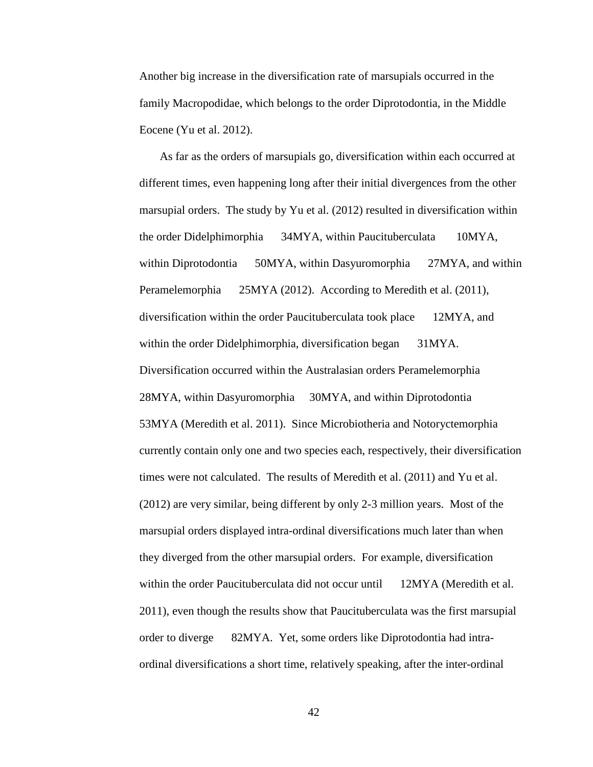Another big increase in the diversification rate of marsupials occurred in the family Macropodidae, which belongs to the order Diprotodontia, in the Middle Eocene (Yu et al. 2012).

As far as the orders of marsupials go, diversification within each occurred at different times, even happening long after their initial divergences from the other marsupial orders. The study by Yu et al. (2012) resulted in diversification within the order Didelphimorphia 34MYA, within Paucituberculata 10MYA, within Diprotodontia 50MYA, within Dasyuromorphia 27MYA, and within Peramelemorphia 25MYA (2012). According to Meredith et al. (2011), diversification within the order Paucituberculata took place 12MYA, and within the order Didelphimorphia, diversification began 31MYA. Diversification occurred within the Australasian orders Peramelemorphia 28MYA, within Dasyuromorphia 30MYA, and within Diprotodontia 53MYA (Meredith et al. 2011). Since Microbiotheria and Notoryctemorphia currently contain only one and two species each, respectively, their diversification times were not calculated. The results of Meredith et al. (2011) and Yu et al. (2012) are very similar, being different by only 2-3 million years. Most of the marsupial orders displayed intra-ordinal diversifications much later than when they diverged from the other marsupial orders. For example, diversification within the order Paucituberculata did not occur until 12MYA (Meredith et al. 2011), even though the results show that Paucituberculata was the first marsupial order to diverge 82MYA. Yet, some orders like Diprotodontia had intraordinal diversifications a short time, relatively speaking, after the inter-ordinal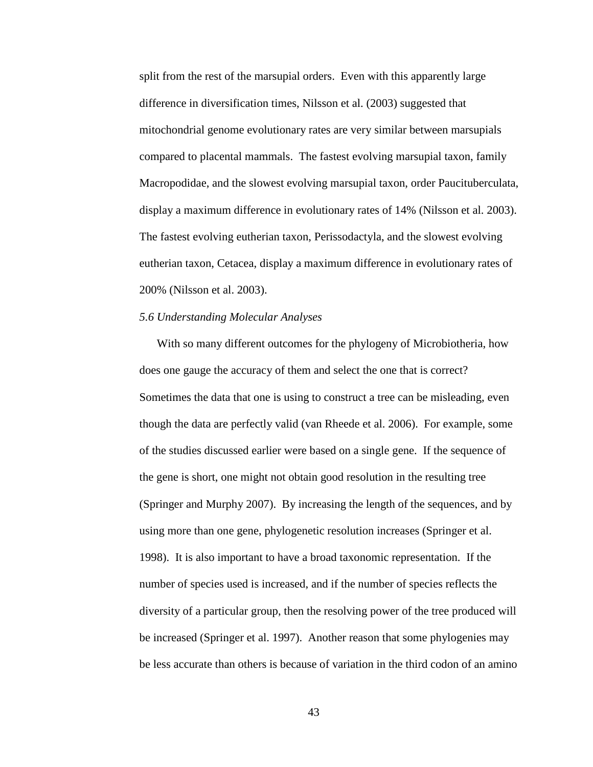split from the rest of the marsupial orders. Even with this apparently large difference in diversification times, Nilsson et al. (2003) suggested that mitochondrial genome evolutionary rates are very similar between marsupials compared to placental mammals. The fastest evolving marsupial taxon, family Macropodidae, and the slowest evolving marsupial taxon, order Paucituberculata, display a maximum difference in evolutionary rates of 14% (Nilsson et al. 2003). The fastest evolving eutherian taxon, Perissodactyla, and the slowest evolving eutherian taxon, Cetacea, display a maximum difference in evolutionary rates of 200% (Nilsson et al. 2003).

## *5.6 Understanding Molecular Analyses*

With so many different outcomes for the phylogeny of Microbiotheria, how does one gauge the accuracy of them and select the one that is correct? Sometimes the data that one is using to construct a tree can be misleading, even though the data are perfectly valid (van Rheede et al. 2006). For example, some of the studies discussed earlier were based on a single gene. If the sequence of the gene is short, one might not obtain good resolution in the resulting tree (Springer and Murphy 2007). By increasing the length of the sequences, and by using more than one gene, phylogenetic resolution increases (Springer et al. 1998). It is also important to have a broad taxonomic representation. If the number of species used is increased, and if the number of species reflects the diversity of a particular group, then the resolving power of the tree produced will be increased (Springer et al. 1997). Another reason that some phylogenies may be less accurate than others is because of variation in the third codon of an amino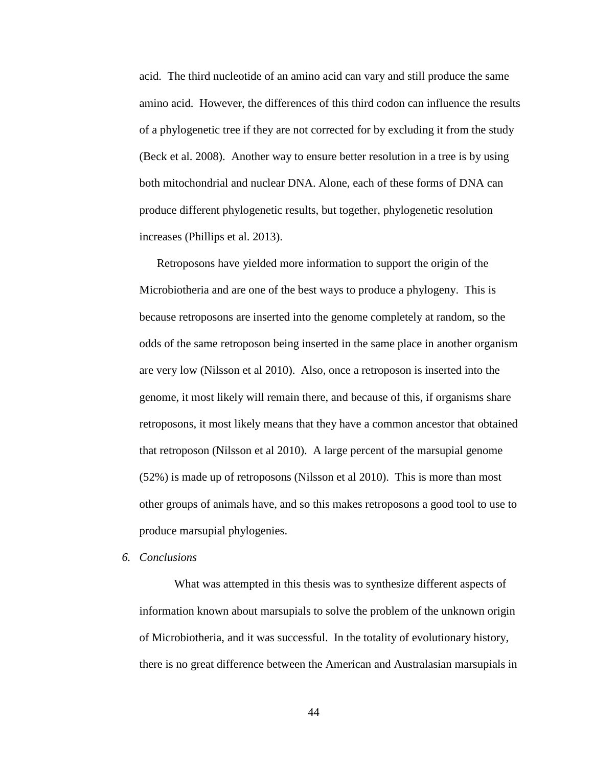acid. The third nucleotide of an amino acid can vary and still produce the same amino acid. However, the differences of this third codon can influence the results of a phylogenetic tree if they are not corrected for by excluding it from the study (Beck et al. 2008). Another way to ensure better resolution in a tree is by using both mitochondrial and nuclear DNA. Alone, each of these forms of DNA can produce different phylogenetic results, but together, phylogenetic resolution increases (Phillips et al. 2013).

Retroposons have yielded more information to support the origin of the Microbiotheria and are one of the best ways to produce a phylogeny. This is because retroposons are inserted into the genome completely at random, so the odds of the same retroposon being inserted in the same place in another organism are very low (Nilsson et al 2010). Also, once a retroposon is inserted into the genome, it most likely will remain there, and because of this, if organisms share retroposons, it most likely means that they have a common ancestor that obtained that retroposon (Nilsson et al 2010). A large percent of the marsupial genome (52%) is made up of retroposons (Nilsson et al 2010). This is more than most other groups of animals have, and so this makes retroposons a good tool to use to produce marsupial phylogenies.

#### *6. Conclusions*

What was attempted in this thesis was to synthesize different aspects of information known about marsupials to solve the problem of the unknown origin of Microbiotheria, and it was successful. In the totality of evolutionary history, there is no great difference between the American and Australasian marsupials in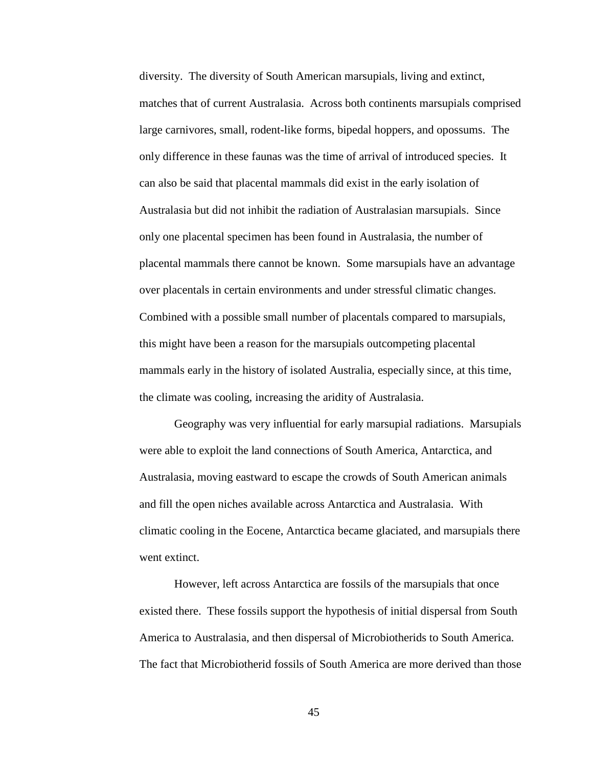diversity. The diversity of South American marsupials, living and extinct, matches that of current Australasia. Across both continents marsupials comprised large carnivores, small, rodent-like forms, bipedal hoppers, and opossums. The only difference in these faunas was the time of arrival of introduced species. It can also be said that placental mammals did exist in the early isolation of Australasia but did not inhibit the radiation of Australasian marsupials. Since only one placental specimen has been found in Australasia, the number of placental mammals there cannot be known. Some marsupials have an advantage over placentals in certain environments and under stressful climatic changes. Combined with a possible small number of placentals compared to marsupials, this might have been a reason for the marsupials outcompeting placental mammals early in the history of isolated Australia, especially since, at this time, the climate was cooling, increasing the aridity of Australasia.

Geography was very influential for early marsupial radiations. Marsupials were able to exploit the land connections of South America, Antarctica, and Australasia, moving eastward to escape the crowds of South American animals and fill the open niches available across Antarctica and Australasia. With climatic cooling in the Eocene, Antarctica became glaciated, and marsupials there went extinct.

However, left across Antarctica are fossils of the marsupials that once existed there. These fossils support the hypothesis of initial dispersal from South America to Australasia, and then dispersal of Microbiotherids to South America. The fact that Microbiotherid fossils of South America are more derived than those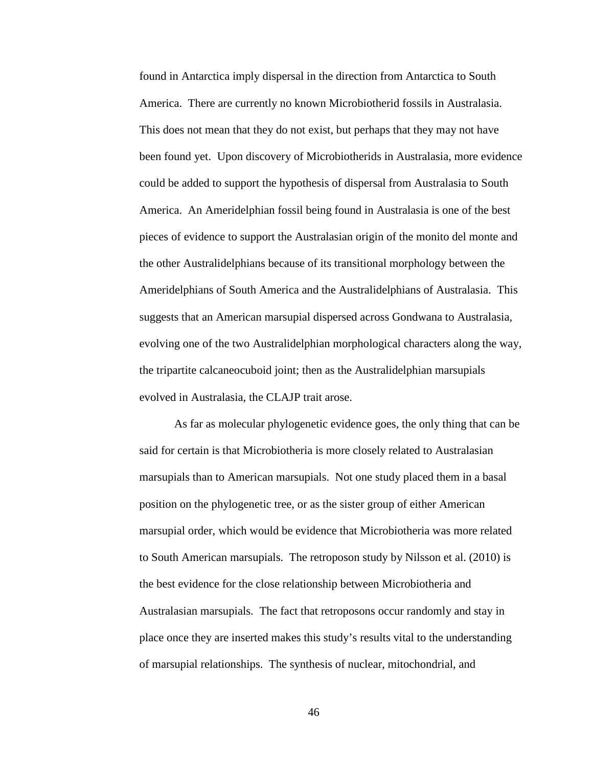found in Antarctica imply dispersal in the direction from Antarctica to South America. There are currently no known Microbiotherid fossils in Australasia. This does not mean that they do not exist, but perhaps that they may not have been found yet. Upon discovery of Microbiotherids in Australasia, more evidence could be added to support the hypothesis of dispersal from Australasia to South America. An Ameridelphian fossil being found in Australasia is one of the best pieces of evidence to support the Australasian origin of the monito del monte and the other Australidelphians because of its transitional morphology between the Ameridelphians of South America and the Australidelphians of Australasia. This suggests that an American marsupial dispersed across Gondwana to Australasia, evolving one of the two Australidelphian morphological characters along the way, the tripartite calcaneocuboid joint; then as the Australidelphian marsupials evolved in Australasia, the CLAJP trait arose.

As far as molecular phylogenetic evidence goes, the only thing that can be said for certain is that Microbiotheria is more closely related to Australasian marsupials than to American marsupials. Not one study placed them in a basal position on the phylogenetic tree, or as the sister group of either American marsupial order, which would be evidence that Microbiotheria was more related to South American marsupials. The retroposon study by Nilsson et al. (2010) is the best evidence for the close relationship between Microbiotheria and Australasian marsupials. The fact that retroposons occur randomly and stay in place once they are inserted makes this study's results vital to the understanding of marsupial relationships. The synthesis of nuclear, mitochondrial, and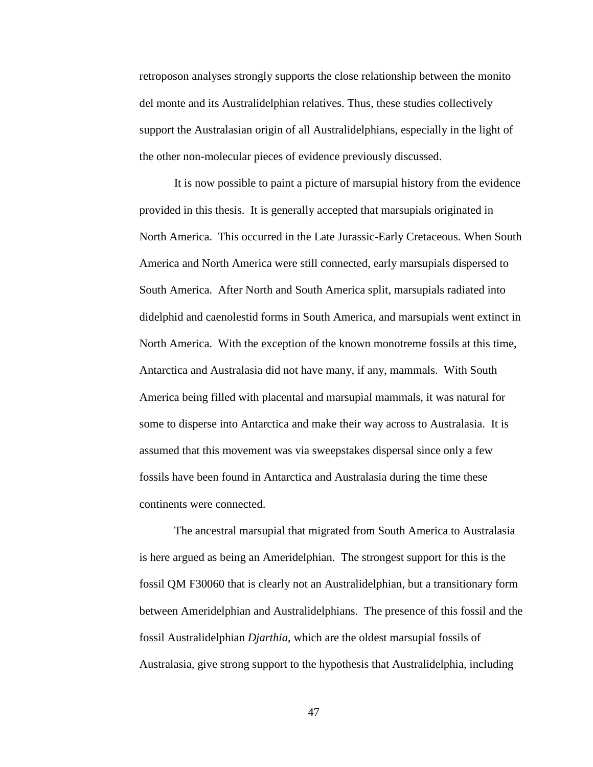retroposon analyses strongly supports the close relationship between the monito del monte and its Australidelphian relatives. Thus, these studies collectively support the Australasian origin of all Australidelphians, especially in the light of the other non-molecular pieces of evidence previously discussed.

It is now possible to paint a picture of marsupial history from the evidence provided in this thesis. It is generally accepted that marsupials originated in North America. This occurred in the Late Jurassic-Early Cretaceous. When South America and North America were still connected, early marsupials dispersed to South America. After North and South America split, marsupials radiated into didelphid and caenolestid forms in South America, and marsupials went extinct in North America. With the exception of the known monotreme fossils at this time, Antarctica and Australasia did not have many, if any, mammals. With South America being filled with placental and marsupial mammals, it was natural for some to disperse into Antarctica and make their way across to Australasia. It is assumed that this movement was via sweepstakes dispersal since only a few fossils have been found in Antarctica and Australasia during the time these continents were connected.

The ancestral marsupial that migrated from South America to Australasia is here argued as being an Ameridelphian. The strongest support for this is the fossil QM F30060 that is clearly not an Australidelphian, but a transitionary form between Ameridelphian and Australidelphians. The presence of this fossil and the fossil Australidelphian *Djarthia*, which are the oldest marsupial fossils of Australasia, give strong support to the hypothesis that Australidelphia, including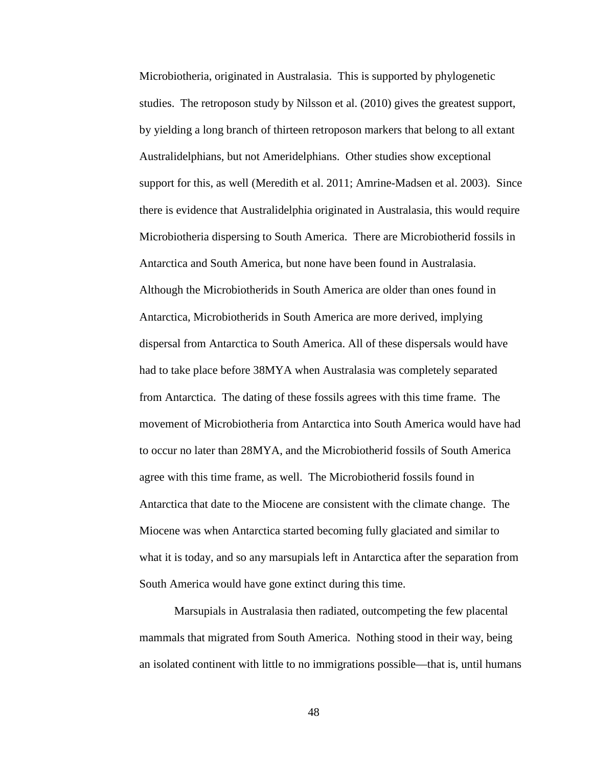Microbiotheria, originated in Australasia. This is supported by phylogenetic studies. The retroposon study by Nilsson et al. (2010) gives the greatest support, by yielding a long branch of thirteen retroposon markers that belong to all extant Australidelphians, but not Ameridelphians. Other studies show exceptional support for this, as well (Meredith et al. 2011; Amrine-Madsen et al. 2003). Since there is evidence that Australidelphia originated in Australasia, this would require Microbiotheria dispersing to South America. There are Microbiotherid fossils in Antarctica and South America, but none have been found in Australasia. Although the Microbiotherids in South America are older than ones found in Antarctica, Microbiotherids in South America are more derived, implying dispersal from Antarctica to South America. All of these dispersals would have had to take place before 38MYA when Australasia was completely separated from Antarctica. The dating of these fossils agrees with this time frame. The movement of Microbiotheria from Antarctica into South America would have had to occur no later than 28MYA, and the Microbiotherid fossils of South America agree with this time frame, as well. The Microbiotherid fossils found in Antarctica that date to the Miocene are consistent with the climate change. The Miocene was when Antarctica started becoming fully glaciated and similar to what it is today, and so any marsupials left in Antarctica after the separation from South America would have gone extinct during this time.

Marsupials in Australasia then radiated, outcompeting the few placental mammals that migrated from South America. Nothing stood in their way, being an isolated continent with little to no immigrations possible—that is, until humans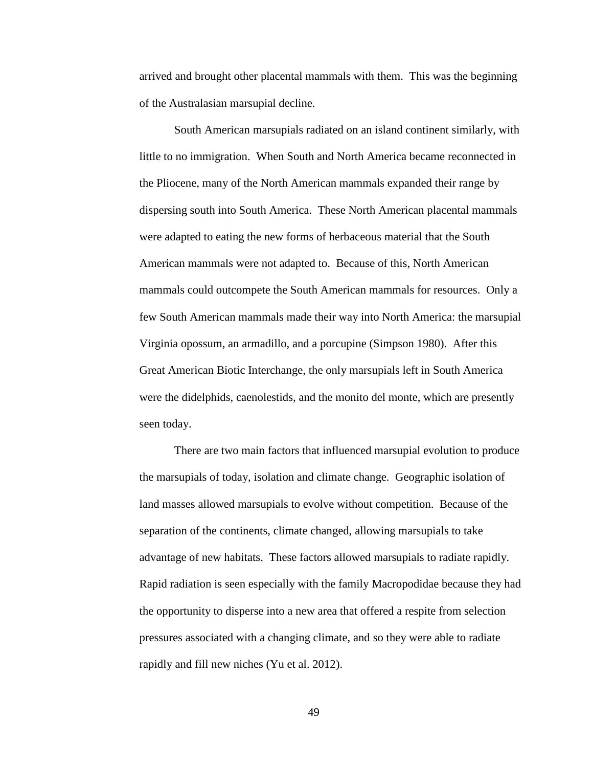arrived and brought other placental mammals with them. This was the beginning of the Australasian marsupial decline.

South American marsupials radiated on an island continent similarly, with little to no immigration. When South and North America became reconnected in the Pliocene, many of the North American mammals expanded their range by dispersing south into South America. These North American placental mammals were adapted to eating the new forms of herbaceous material that the South American mammals were not adapted to. Because of this, North American mammals could outcompete the South American mammals for resources. Only a few South American mammals made their way into North America: the marsupial Virginia opossum, an armadillo, and a porcupine (Simpson 1980). After this Great American Biotic Interchange, the only marsupials left in South America were the didelphids, caenolestids, and the monito del monte, which are presently seen today.

There are two main factors that influenced marsupial evolution to produce the marsupials of today, isolation and climate change. Geographic isolation of land masses allowed marsupials to evolve without competition. Because of the separation of the continents, climate changed, allowing marsupials to take advantage of new habitats. These factors allowed marsupials to radiate rapidly. Rapid radiation is seen especially with the family Macropodidae because they had the opportunity to disperse into a new area that offered a respite from selection pressures associated with a changing climate, and so they were able to radiate rapidly and fill new niches (Yu et al. 2012).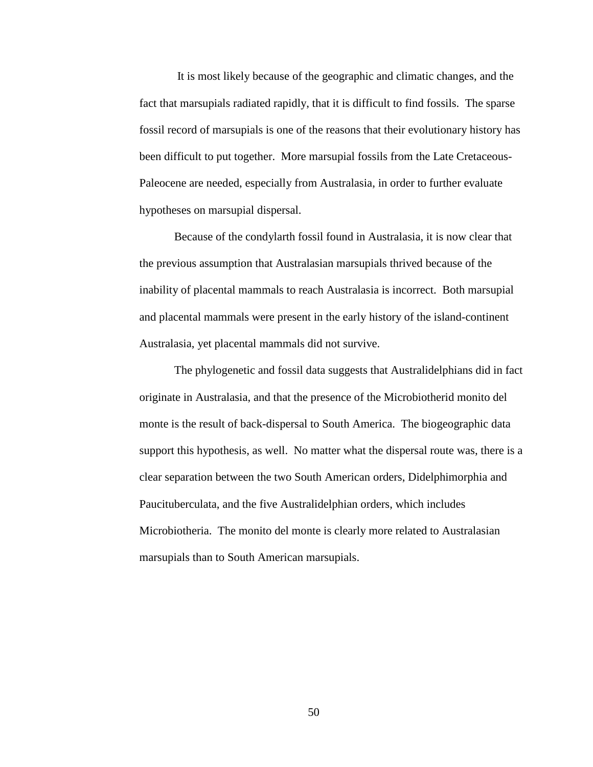It is most likely because of the geographic and climatic changes, and the fact that marsupials radiated rapidly, that it is difficult to find fossils. The sparse fossil record of marsupials is one of the reasons that their evolutionary history has been difficult to put together. More marsupial fossils from the Late Cretaceous-Paleocene are needed, especially from Australasia, in order to further evaluate hypotheses on marsupial dispersal.

Because of the condylarth fossil found in Australasia, it is now clear that the previous assumption that Australasian marsupials thrived because of the inability of placental mammals to reach Australasia is incorrect. Both marsupial and placental mammals were present in the early history of the island-continent Australasia, yet placental mammals did not survive.

The phylogenetic and fossil data suggests that Australidelphians did in fact originate in Australasia, and that the presence of the Microbiotherid monito del monte is the result of back-dispersal to South America. The biogeographic data support this hypothesis, as well. No matter what the dispersal route was, there is a clear separation between the two South American orders, Didelphimorphia and Paucituberculata, and the five Australidelphian orders, which includes Microbiotheria. The monito del monte is clearly more related to Australasian marsupials than to South American marsupials.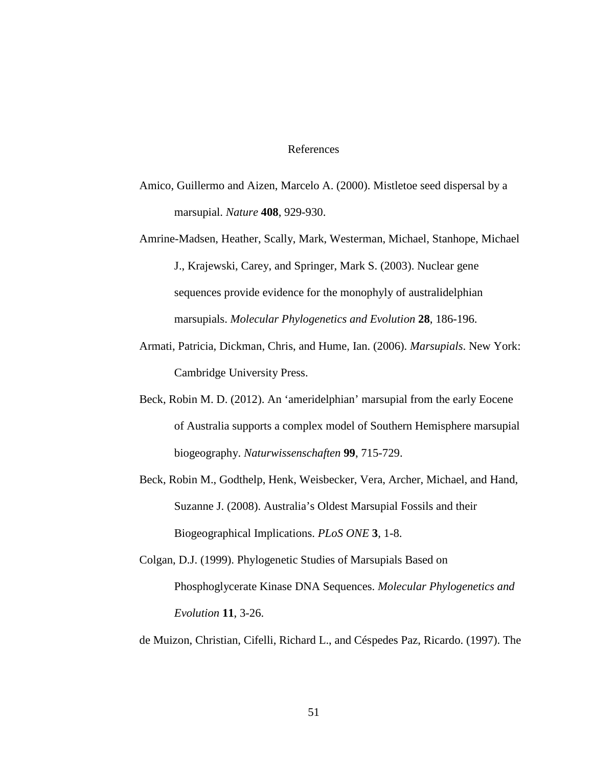## References

- Amico, Guillermo and Aizen, Marcelo A. (2000). Mistletoe seed dispersal by a marsupial. *Nature* **408**, 929-930.
- Amrine-Madsen, Heather, Scally, Mark, Westerman, Michael, Stanhope, Michael J., Krajewski, Carey, and Springer, Mark S. (2003). Nuclear gene sequences provide evidence for the monophyly of australidelphian marsupials. *Molecular Phylogenetics and Evolution* **28**, 186-196.
- Armati, Patricia, Dickman, Chris, and Hume, Ian. (2006). *Marsupials*. New York: Cambridge University Press.
- Beck, Robin M. D. (2012). An 'ameridelphian' marsupial from the early Eocene of Australia supports a complex model of Southern Hemisphere marsupial biogeography. *Naturwissenschaften* **99**, 715-729.
- Beck, Robin M., Godthelp, Henk, Weisbecker, Vera, Archer, Michael, and Hand, Suzanne J. (2008). Australia's Oldest Marsupial Fossils and their Biogeographical Implications. *PLoS ONE* **3**, 1-8.
- Colgan, D.J. (1999). Phylogenetic Studies of Marsupials Based on Phosphoglycerate Kinase DNA Sequences. *Molecular Phylogenetics and Evolution* **11**, 3-26.

de Muizon, Christian, Cifelli, Richard L., and Céspedes Paz, Ricardo. (1997). The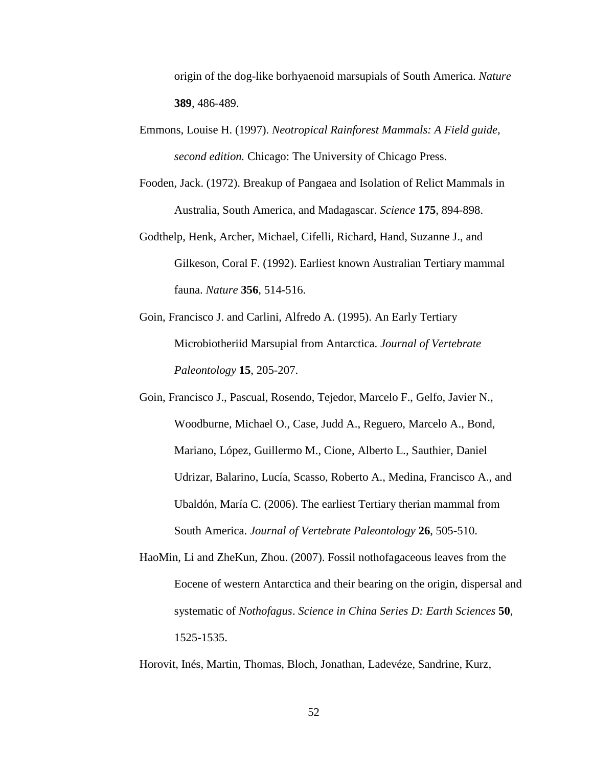origin of the dog-like borhyaenoid marsupials of South America. *Nature* **389**, 486-489.

- Emmons, Louise H. (1997). *Neotropical Rainforest Mammals: A Field guide, second edition.* Chicago: The University of Chicago Press.
- Fooden, Jack. (1972). Breakup of Pangaea and Isolation of Relict Mammals in Australia, South America, and Madagascar. *Science* **175**, 894-898.
- Godthelp, Henk, Archer, Michael, Cifelli, Richard, Hand, Suzanne J., and Gilkeson, Coral F. (1992). Earliest known Australian Tertiary mammal fauna. *Nature* **356**, 514-516.
- Goin, Francisco J. and Carlini, Alfredo A. (1995). An Early Tertiary Microbiotheriid Marsupial from Antarctica. *Journal of Vertebrate Paleontology* **15**, 205-207.
- Goin, Francisco J., Pascual, Rosendo, Tejedor, Marcelo F., Gelfo, Javier N., Woodburne, Michael O., Case, Judd A., Reguero, Marcelo A., Bond, Mariano, López, Guillermo M., Cione, Alberto L., Sauthier, Daniel Udrizar, Balarino, Lucía, Scasso, Roberto A., Medina, Francisco A., and Ubaldón, María C. (2006). The earliest Tertiary therian mammal from South America. *Journal of Vertebrate Paleontology* **26**, 505-510.
- HaoMin, Li and ZheKun, Zhou. (2007). Fossil nothofagaceous leaves from the Eocene of western Antarctica and their bearing on the origin, dispersal and systematic of *Nothofagus*. *Science in China Series D: Earth Sciences* **50**, 1525-1535.
- Horovit, Inés, Martin, Thomas, Bloch, Jonathan, Ladevéze, Sandrine, Kurz,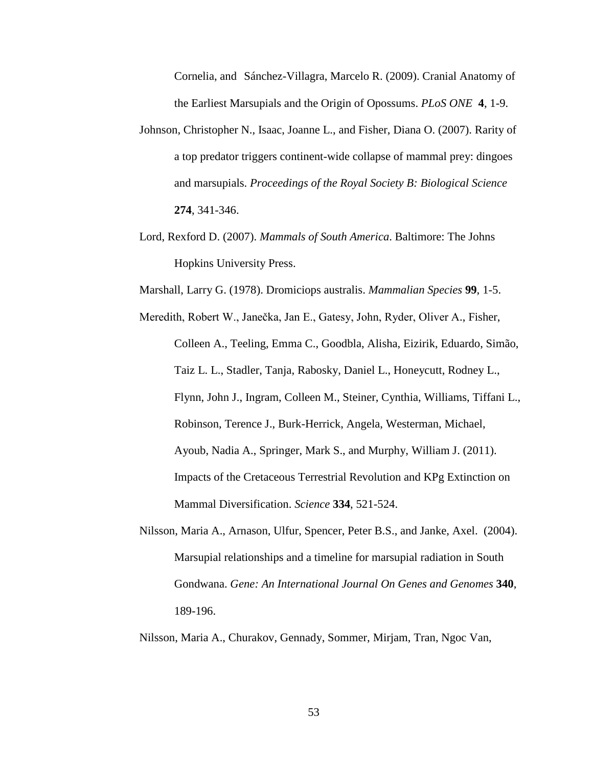Cornelia, and Sánchez-Villagra, Marcelo R. (2009). Cranial Anatomy of the Earliest Marsupials and the Origin of Opossums. *PLoS ONE* **4**, 1-9.

- Johnson, Christopher N., Isaac, Joanne L., and Fisher, Diana O. (2007). Rarity of a top predator triggers continent-wide collapse of mammal prey: dingoes and marsupials. *Proceedings of the Royal Society B: Biological Science* **274**, 341-346.
- Lord, Rexford D. (2007). *Mammals of South America*. Baltimore: The Johns Hopkins University Press.
- Marshall, Larry G. (1978). Dromiciops australis. *Mammalian Species* **99**, 1-5.
- Meredith, Robert W., Janečka, Jan E., Gatesy, John, Ryder, Oliver A., Fisher, Colleen A., Teeling, Emma C., Goodbla, Alisha, Eizirik, Eduardo, Simão, Taiz L. L., Stadler, Tanja, Rabosky, Daniel L., Honeycutt, Rodney L., Flynn, John J., Ingram, Colleen M., Steiner, Cynthia, Williams, Tiffani L., Robinson, Terence J., Burk-Herrick, Angela, Westerman, Michael, Ayoub, Nadia A., Springer, Mark S., and Murphy, William J. (2011). Impacts of the Cretaceous Terrestrial Revolution and KPg Extinction on Mammal Diversification. *Science* **334**, 521-524.
- Nilsson, Maria A., Arnason, Ulfur, Spencer, Peter B.S., and Janke, Axel. (2004). Marsupial relationships and a timeline for marsupial radiation in South Gondwana. *Gene: An International Journal On Genes and Genomes* **340**, 189-196.
- Nilsson, Maria A., Churakov, Gennady, Sommer, Mirjam, Tran, Ngoc Van,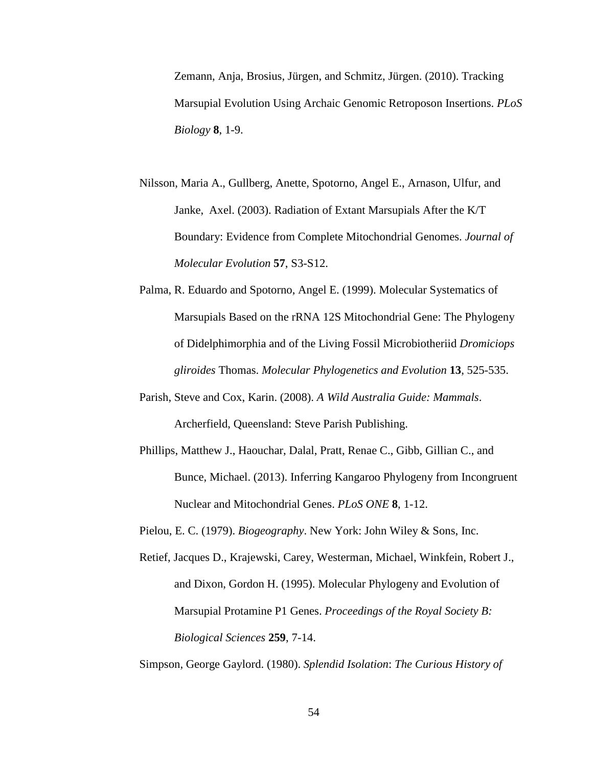Zemann, Anja, Brosius, Jürgen, and Schmitz, Jürgen. (2010). Tracking Marsupial Evolution Using Archaic Genomic Retroposon Insertions. *PLoS Biology* **8**, 1-9.

- Nilsson, Maria A., Gullberg, Anette, Spotorno, Angel E., Arnason, Ulfur, and Janke, Axel. (2003). Radiation of Extant Marsupials After the K/T Boundary: Evidence from Complete Mitochondrial Genomes. *Journal of Molecular Evolution* **57**, S3-S12.
- Palma, R. Eduardo and Spotorno, Angel E. (1999). Molecular Systematics of Marsupials Based on the rRNA 12S Mitochondrial Gene: The Phylogeny of Didelphimorphia and of the Living Fossil Microbiotheriid *Dromiciops gliroides* Thomas. *Molecular Phylogenetics and Evolution* **13**, 525-535.
- Parish, Steve and Cox, Karin. (2008). *A Wild Australia Guide: Mammals*. Archerfield, Queensland: Steve Parish Publishing.
- Phillips, Matthew J., Haouchar, Dalal, Pratt, Renae C., Gibb, Gillian C., and Bunce, Michael. (2013). Inferring Kangaroo Phylogeny from Incongruent Nuclear and Mitochondrial Genes. *PLoS ONE* **8**, 1-12.
- Pielou, E. C. (1979). *Biogeography*. New York: John Wiley & Sons, Inc.
- Retief, Jacques D., Krajewski, Carey, Westerman, Michael, Winkfein, Robert J., and Dixon, Gordon H. (1995). Molecular Phylogeny and Evolution of Marsupial Protamine P1 Genes. *Proceedings of the Royal Society B: Biological Sciences* **259**, 7-14.

Simpson, George Gaylord. (1980). *Splendid Isolation*: *The Curious History of*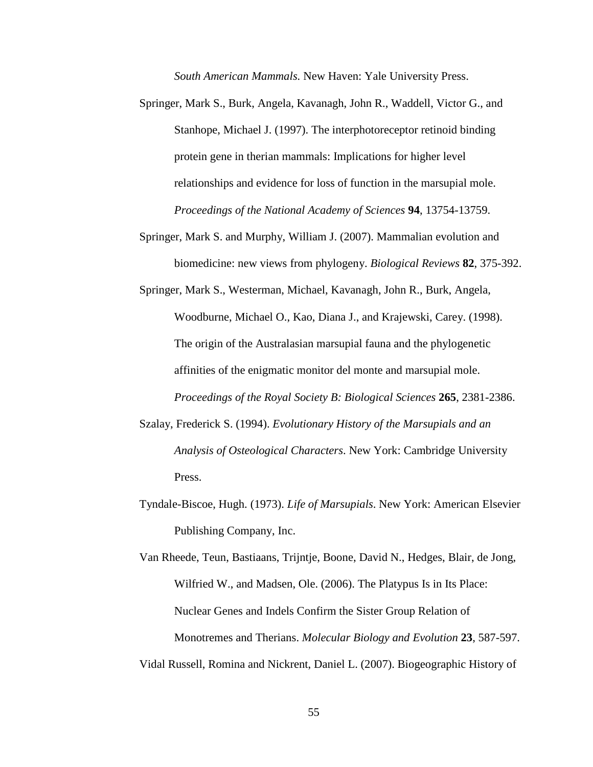*South American Mammals.* New Haven: Yale University Press.

- Springer, Mark S., Burk, Angela, Kavanagh, John R., Waddell, Victor G., and Stanhope, Michael J. (1997). The interphotoreceptor retinoid binding protein gene in therian mammals: Implications for higher level relationships and evidence for loss of function in the marsupial mole. *Proceedings of the National Academy of Sciences* **94**, 13754-13759.
- Springer, Mark S. and Murphy, William J. (2007). Mammalian evolution and biomedicine: new views from phylogeny. *Biological Reviews* **82**, 375-392.

Springer, Mark S., Westerman, Michael, Kavanagh, John R., Burk, Angela, Woodburne, Michael O., Kao, Diana J., and Krajewski, Carey. (1998). The origin of the Australasian marsupial fauna and the phylogenetic affinities of the enigmatic monitor del monte and marsupial mole. *Proceedings of the Royal Society B: Biological Sciences* **265**, 2381-2386.

- Szalay, Frederick S. (1994). *Evolutionary History of the Marsupials and an Analysis of Osteological Characters*. New York: Cambridge University Press.
- Tyndale-Biscoe, Hugh. (1973). *Life of Marsupials*. New York: American Elsevier Publishing Company, Inc.

Van Rheede, Teun, Bastiaans, Trijntje, Boone, David N., Hedges, Blair, de Jong, Wilfried W., and Madsen, Ole. (2006). The Platypus Is in Its Place: Nuclear Genes and Indels Confirm the Sister Group Relation of Monotremes and Therians. *Molecular Biology and Evolution* **23**, 587-597. Vidal Russell, Romina and Nickrent, Daniel L. (2007). Biogeographic History of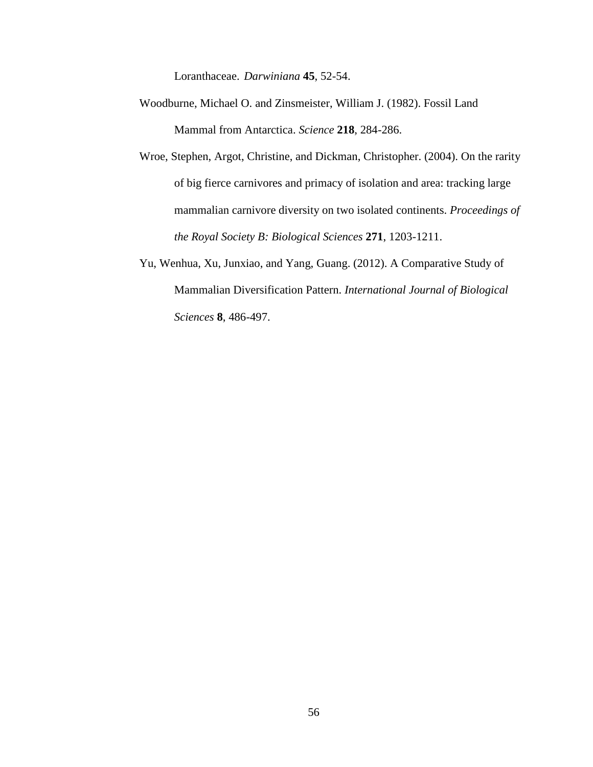Loranthaceae. *Darwiniana* **45**, 52-54.

- Woodburne, Michael O. and Zinsmeister, William J. (1982). Fossil Land Mammal from Antarctica. *Science* **218**, 284-286.
- Wroe, Stephen, Argot, Christine, and Dickman, Christopher. (2004). On the rarity of big fierce carnivores and primacy of isolation and area: tracking large mammalian carnivore diversity on two isolated continents. *Proceedings of the Royal Society B: Biological Sciences* **271**, 1203-1211.
- Yu, Wenhua, Xu, Junxiao, and Yang, Guang. (2012). A Comparative Study of Mammalian Diversification Pattern. *International Journal of Biological Sciences* **8**, 486-497.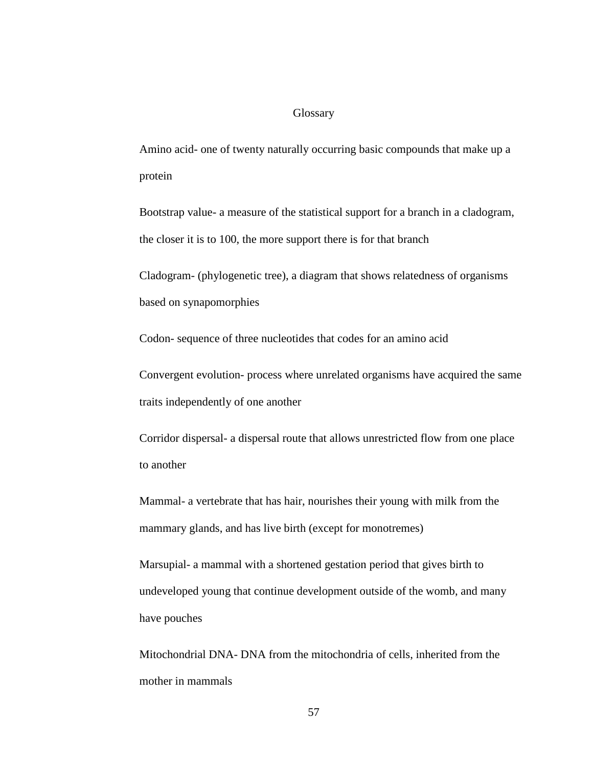## **Glossary**

Amino acid- one of twenty naturally occurring basic compounds that make up a protein

Bootstrap value- a measure of the statistical support for a branch in a cladogram, the closer it is to 100, the more support there is for that branch

Cladogram- (phylogenetic tree), a diagram that shows relatedness of organisms based on synapomorphies

Codon- sequence of three nucleotides that codes for an amino acid

Convergent evolution- process where unrelated organisms have acquired the same traits independently of one another

Corridor dispersal- a dispersal route that allows unrestricted flow from one place to another

Mammal- a vertebrate that has hair, nourishes their young with milk from the mammary glands, and has live birth (except for monotremes)

Marsupial- a mammal with a shortened gestation period that gives birth to undeveloped young that continue development outside of the womb, and many have pouches

Mitochondrial DNA- DNA from the mitochondria of cells, inherited from the mother in mammals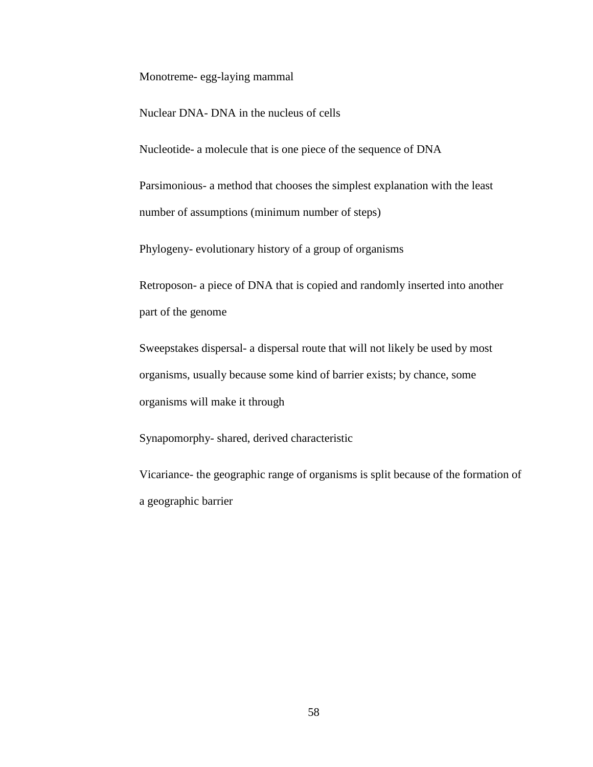Monotreme- egg-laying mammal

Nuclear DNA- DNA in the nucleus of cells

Nucleotide- a molecule that is one piece of the sequence of DNA

Parsimonious- a method that chooses the simplest explanation with the least number of assumptions (minimum number of steps)

Phylogeny- evolutionary history of a group of organisms

Retroposon- a piece of DNA that is copied and randomly inserted into another part of the genome

Sweepstakes dispersal- a dispersal route that will not likely be used by most organisms, usually because some kind of barrier exists; by chance, some organisms will make it through

Synapomorphy- shared, derived characteristic

Vicariance- the geographic range of organisms is split because of the formation of a geographic barrier